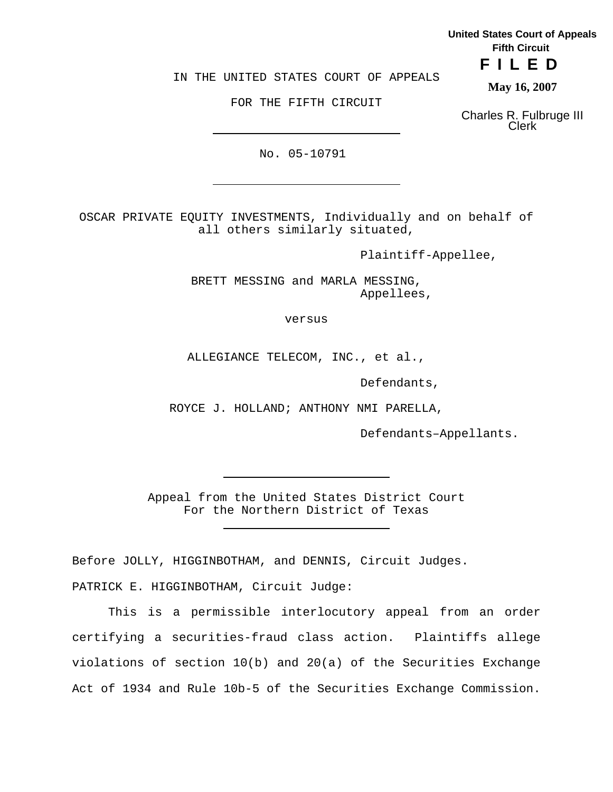**United States Court of Appeals Fifth Circuit**

**FILED**

IN THE UNITED STATES COURT OF APPEALS

FOR THE FIFTH CIRCUIT

**May 16, 2007**

Charles R. Fulbruge III Clerk

No. 05-10791

OSCAR PRIVATE EQUITY INVESTMENTS, Individually and on behalf of all others similarly situated,

Plaintiff-Appellee,

BRETT MESSING and MARLA MESSING, Appellees,

versus

ALLEGIANCE TELECOM, INC., et al.,

Defendants,

ROYCE J. HOLLAND; ANTHONY NMI PARELLA,

Defendants–Appellants.

Appeal from the United States District Court For the Northern District of Texas

Before JOLLY, HIGGINBOTHAM, and DENNIS, Circuit Judges. PATRICK E. HIGGINBOTHAM, Circuit Judge:

This is a permissible interlocutory appeal from an order certifying a securities-fraud class action. Plaintiffs allege violations of section 10(b) and 20(a) of the Securities Exchange Act of 1934 and Rule 10b-5 of the Securities Exchange Commission.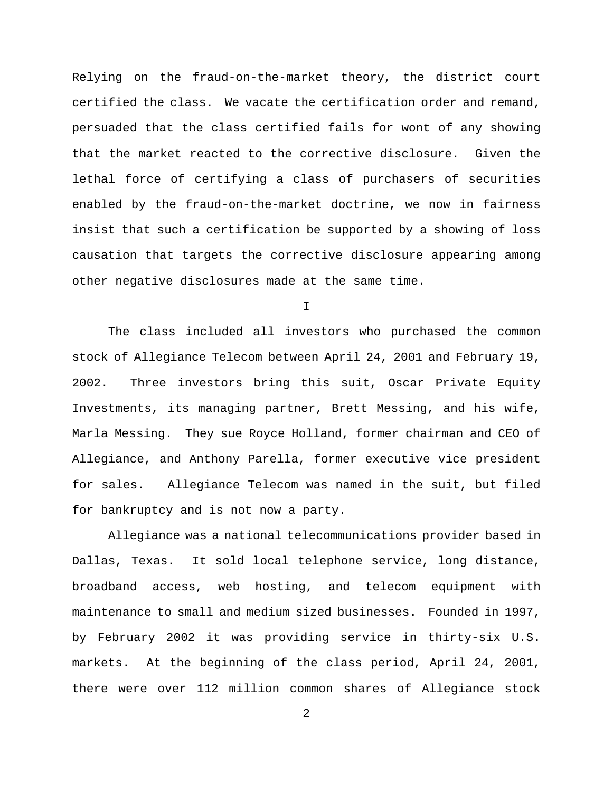Relying on the fraud-on-the-market theory, the district court certified the class. We vacate the certification order and remand, persuaded that the class certified fails for wont of any showing that the market reacted to the corrective disclosure. Given the lethal force of certifying a class of purchasers of securities enabled by the fraud-on-the-market doctrine, we now in fairness insist that such a certification be supported by a showing of loss causation that targets the corrective disclosure appearing among other negative disclosures made at the same time.

I

The class included all investors who purchased the common stock of Allegiance Telecom between April 24, 2001 and February 19, 2002. Three investors bring this suit, Oscar Private Equity Investments, its managing partner, Brett Messing, and his wife, Marla Messing. They sue Royce Holland, former chairman and CEO of Allegiance, and Anthony Parella, former executive vice president for sales. Allegiance Telecom was named in the suit, but filed for bankruptcy and is not now a party.

Allegiance was a national telecommunications provider based in Dallas, Texas. It sold local telephone service, long distance, broadband access, web hosting, and telecom equipment with maintenance to small and medium sized businesses. Founded in 1997, by February 2002 it was providing service in thirty-six U.S. markets. At the beginning of the class period, April 24, 2001, there were over 112 million common shares of Allegiance stock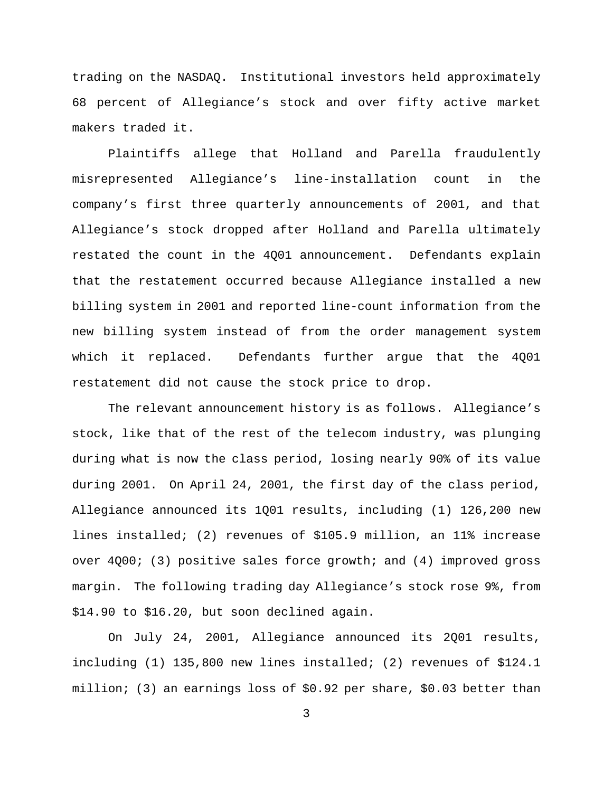trading on the NASDAQ. Institutional investors held approximately 68 percent of Allegiance's stock and over fifty active market makers traded it.

Plaintiffs allege that Holland and Parella fraudulently misrepresented Allegiance's line-installation count in the company's first three quarterly announcements of 2001, and that Allegiance's stock dropped after Holland and Parella ultimately restated the count in the 4Q01 announcement. Defendants explain that the restatement occurred because Allegiance installed a new billing system in 2001 and reported line-count information from the new billing system instead of from the order management system which it replaced. Defendants further argue that the 4Q01 restatement did not cause the stock price to drop.

The relevant announcement history is as follows. Allegiance's stock, like that of the rest of the telecom industry, was plunging during what is now the class period, losing nearly 90% of its value during 2001. On April 24, 2001, the first day of the class period, Allegiance announced its 1Q01 results, including (1) 126,200 new lines installed; (2) revenues of \$105.9 million, an 11% increase over 4Q00; (3) positive sales force growth; and (4) improved gross margin. The following trading day Allegiance's stock rose 9%, from \$14.90 to \$16.20, but soon declined again.

On July 24, 2001, Allegiance announced its 2Q01 results, including (1) 135,800 new lines installed; (2) revenues of \$124.1 million; (3) an earnings loss of \$0.92 per share, \$0.03 better than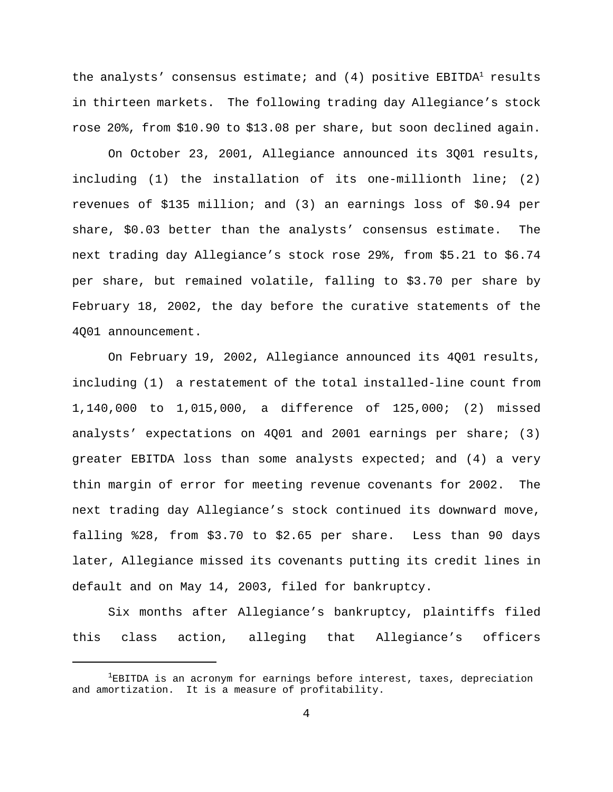the analysts' consensus estimate; and  $(4)$  positive EBITDA<sup>1</sup> results in thirteen markets. The following trading day Allegiance's stock rose 20%, from \$10.90 to \$13.08 per share, but soon declined again.

On October 23, 2001, Allegiance announced its 3Q01 results, including (1) the installation of its one-millionth line; (2) revenues of \$135 million; and (3) an earnings loss of \$0.94 per share, \$0.03 better than the analysts' consensus estimate. The next trading day Allegiance's stock rose 29%, from \$5.21 to \$6.74 per share, but remained volatile, falling to \$3.70 per share by February 18, 2002, the day before the curative statements of the 4Q01 announcement.

On February 19, 2002, Allegiance announced its 4Q01 results, including (1) a restatement of the total installed-line count from 1,140,000 to 1,015,000, a difference of 125,000; (2) missed analysts' expectations on 4Q01 and 2001 earnings per share; (3) greater EBITDA loss than some analysts expected; and (4) a very thin margin of error for meeting revenue covenants for 2002. The next trading day Allegiance's stock continued its downward move, falling %28, from \$3.70 to \$2.65 per share. Less than 90 days later, Allegiance missed its covenants putting its credit lines in default and on May 14, 2003, filed for bankruptcy.

Six months after Allegiance's bankruptcy, plaintiffs filed this class action, alleging that Allegiance's officers

 ${}^{1}$ EBITDA is an acronym for earnings before interest, taxes, depreciation and amortization. It is a measure of profitability.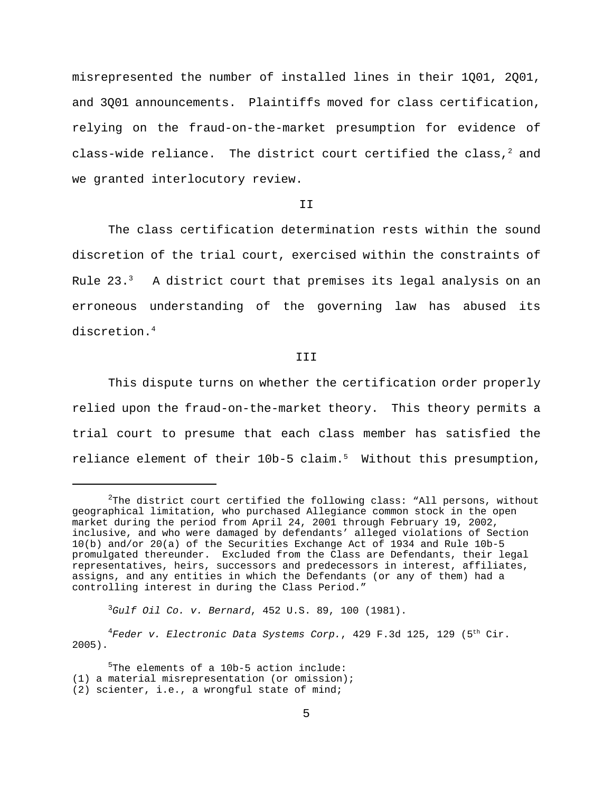misrepresented the number of installed lines in their 1Q01, 2Q01, and 3Q01 announcements. Plaintiffs moved for class certification, relying on the fraud-on-the-market presumption for evidence of class-wide reliance. The district court certified the class, $^2$  and we granted interlocutory review.

#### T<sub>T</sub>

The class certification determination rests within the sound discretion of the trial court, exercised within the constraints of Rule  $23.^3$  A district court that premises its legal analysis on an erroneous understanding of the governing law has abused its discretion.<sup>4</sup>

### **III**

This dispute turns on whether the certification order properly relied upon the fraud-on-the-market theory. This theory permits a trial court to presume that each class member has satisfied the reliance element of their 10b-5 claim.<sup>5</sup> Without this presumption,

<sup>3</sup>*Gulf Oil Co. v. Bernard*, 452 U.S. 89, 100 (1981).

<sup>4</sup>Feder v. Electronic Data Systems Corp., 429 F.3d 125, 129 (5<sup>th</sup> Cir. 2005).

 $5$ The elements of a 10b-5 action include: (1) a material misrepresentation (or omission); (2) scienter, i.e., a wrongful state of mind;

 $2$ The district court certified the following class: "All persons, without geographical limitation, who purchased Allegiance common stock in the open market during the period from April 24, 2001 through February 19, 2002, inclusive, and who were damaged by defendants' alleged violations of Section 10(b) and/or 20(a) of the Securities Exchange Act of 1934 and Rule 10b-5 promulgated thereunder. Excluded from the Class are Defendants, their legal representatives, heirs, successors and predecessors in interest, affiliates, assigns, and any entities in which the Defendants (or any of them) had a controlling interest in during the Class Period."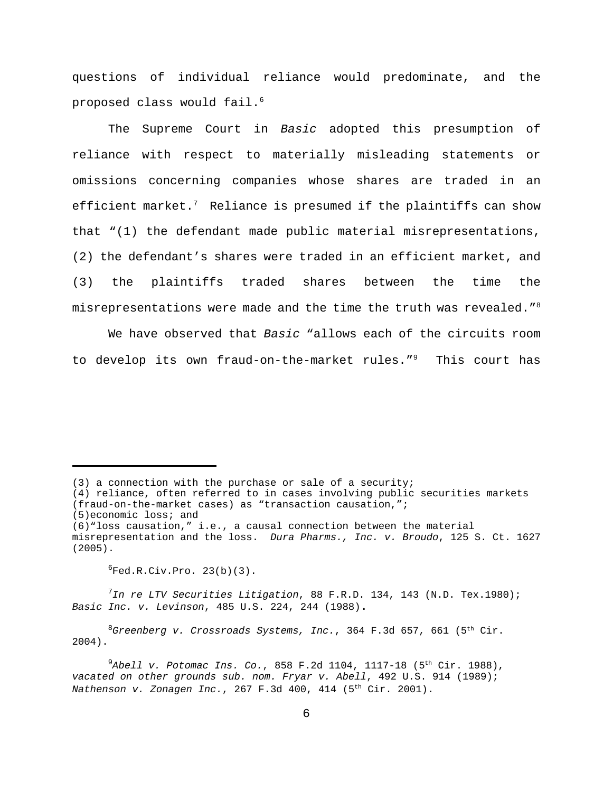questions of individual reliance would predominate, and the proposed class would fail.<sup>6</sup>

The Supreme Court in *Basic* adopted this presumption of reliance with respect to materially misleading statements or omissions concerning companies whose shares are traded in an efficient market.<sup>7</sup> Reliance is presumed if the plaintiffs can show that "(1) the defendant made public material misrepresentations, (2) the defendant's shares were traded in an efficient market, and (3) the plaintiffs traded shares between the time the misrepresentations were made and the time the truth was revealed." $8$ 

We have observed that *Basic* "allows each of the circuits room to develop its own fraud-on-the-market rules."<sup>9</sup> This court has

 ${}^{6}$ Fed.R.Civ.Pro. 23(b)(3).

<sup>7</sup>*In re LTV Securities Litigation*, 88 F.R.D. 134, 143 (N.D. Tex.1980); *Basic Inc. v. Levinson*, 485 U.S. 224, 244 (1988).

<sup>8</sup>Greenberg v. Crossroads Systems, Inc., 364 F.3d 657, 661 (5<sup>th</sup> Cir. 2004).

 $^{9}$ Abell v. Potomac Ins. Co., 858 F.2d 1104, 1117-18 (5<sup>th</sup> Cir. 1988), *vacated on other grounds sub. nom. Fryar v. Abell*, 492 U.S. 914 (1989); *Nathenson v. Zonagen Inc.*, 267 F.3d 400, 414 (5<sup>th</sup> Cir. 2001).

<sup>(3)</sup> a connection with the purchase or sale of a security;

<sup>(4)</sup> reliance, often referred to in cases involving public securities markets (fraud-on-the-market cases) as "transaction causation,";

<sup>(5)</sup>economic loss; and

<sup>(6)&</sup>quot;loss causation," i.e., a causal connection between the material misrepresentation and the loss. *Dura Pharms., Inc. v. Broudo*, 125 S. Ct. 1627 (2005).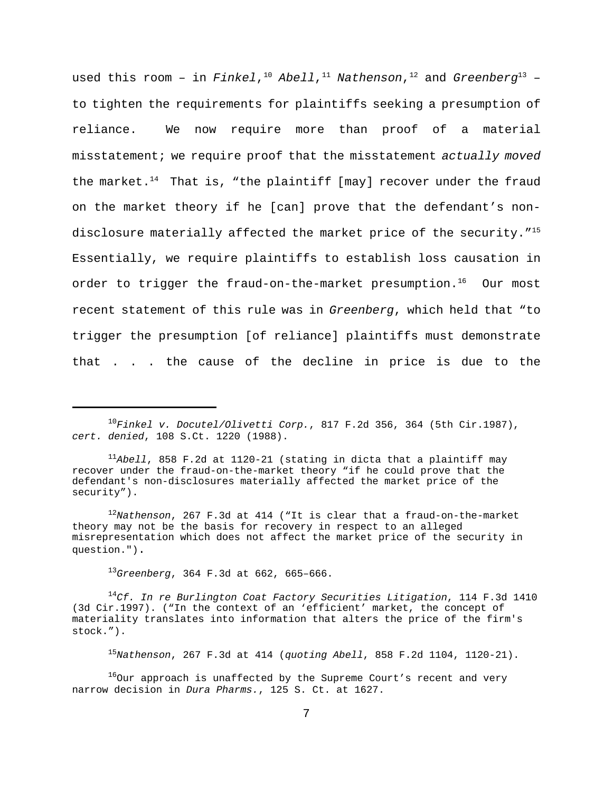used this room – in *Finkel*, <sup>10</sup> *Abell*, <sup>11</sup> *Nathenson*, <sup>12</sup> and *Greenberg*<sup>13</sup> – to tighten the requirements for plaintiffs seeking a presumption of reliance. We now require more than proof of a material misstatement; we require proof that the misstatement *actually moved* the market.<sup>14</sup> That is, "the plaintiff [may] recover under the fraud on the market theory if he [can] prove that the defendant's nondisclosure materially affected the market price of the security."<sup>15</sup> Essentially, we require plaintiffs to establish loss causation in order to trigger the fraud-on-the-market presumption.<sup>16</sup> Our most recent statement of this rule was in *Greenberg*, which held that "to trigger the presumption [of reliance] plaintiffs must demonstrate that . . . the cause of the decline in price is due to the

<sup>11</sup>*Abell*, 858 F.2d at 1120-21 (stating in dicta that a plaintiff may recover under the fraud-on-the-market theory "if he could prove that the defendant's non-disclosures materially affected the market price of the security").

<sup>12</sup>*Nathenson*, 267 F.3d at 414 ("It is clear that a fraud-on-the-market theory may not be the basis for recovery in respect to an alleged misrepresentation which does not affect the market price of the security in question.").

<sup>13</sup>*Greenberg*, 364 F.3d at 662, 665–666.

<sup>14</sup>*Cf. In re Burlington Coat Factory Securities Litigation*, 114 F.3d 1410 (3d Cir.1997). ("In the context of an 'efficient' market, the concept of materiality translates into information that alters the price of the firm's stock.").

<sup>15</sup>*Nathenson*, 267 F.3d at 414 (*quoting Abell*, 858 F.2d 1104, 1120-21).

 $160$ ur approach is unaffected by the Supreme Court's recent and very narrow decision in *Dura Pharms.*, 125 S. Ct. at 1627.

<sup>10</sup>*Finkel v. Docutel/Olivetti Corp.*, 817 F.2d 356, 364 (5th Cir.1987), *cert. denied*, 108 S.Ct. 1220 (1988).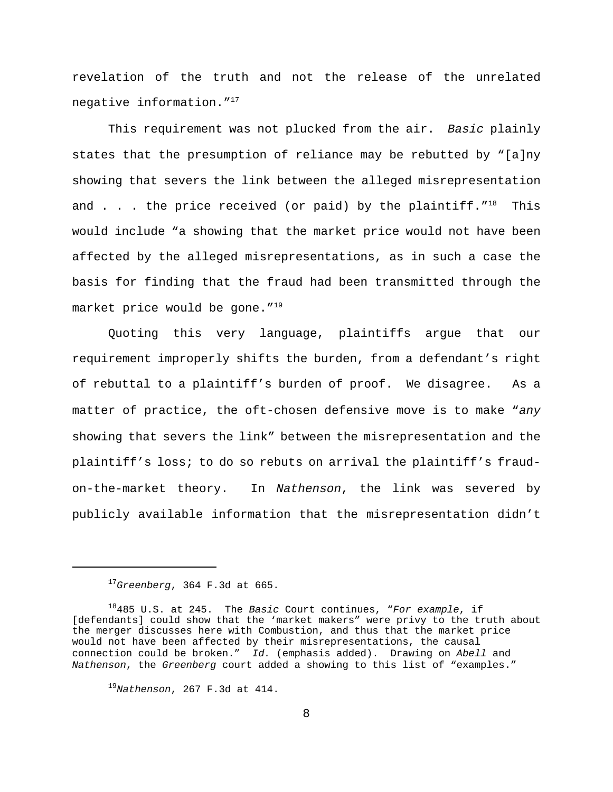revelation of the truth and not the release of the unrelated negative information."<sup>17</sup>

This requirement was not plucked from the air. *Basic* plainly states that the presumption of reliance may be rebutted by "[a]ny showing that severs the link between the alleged misrepresentation and  $\ldots$  the price received (or paid) by the plaintiff."<sup>18</sup> This would include "a showing that the market price would not have been affected by the alleged misrepresentations, as in such a case the basis for finding that the fraud had been transmitted through the market price would be gone."<sup>19</sup>

Quoting this very language, plaintiffs argue that our requirement improperly shifts the burden, from a defendant's right of rebuttal to a plaintiff's burden of proof. We disagree. As a matter of practice, the oft-chosen defensive move is to make "*any* showing that severs the link" between the misrepresentation and the plaintiff's loss; to do so rebuts on arrival the plaintiff's fraudon-the-market theory. In *Nathenson*, the link was severed by publicly available information that the misrepresentation didn't

<sup>17</sup>*Greenberg*, 364 F.3d at 665.

<sup>18</sup>485 U.S. at 245. The *Basic* Court continues, "*For example*, if [defendants] could show that the 'market makers" were privy to the truth about the merger discusses here with Combustion, and thus that the market price would not have been affected by their misrepresentations, the causal connection could be broken." *Id.* (emphasis added). Drawing on *Abell* and *Nathenson*, the *Greenberg* court added a showing to this list of "examples."

<sup>19</sup>*Nathenson*, 267 F.3d at 414.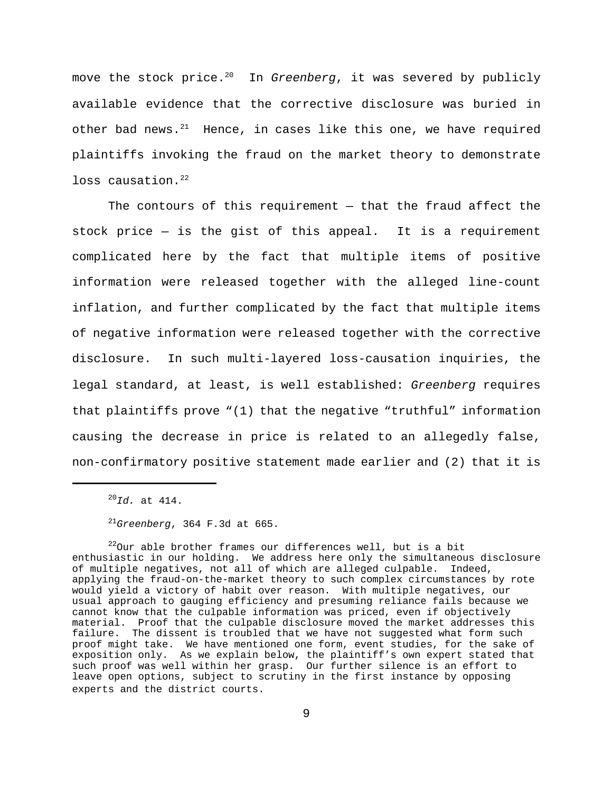move the stock price.<sup>20</sup> In *Greenberg*, it was severed by publicly available evidence that the corrective disclosure was buried in other bad news. $21$  Hence, in cases like this one, we have required plaintiffs invoking the fraud on the market theory to demonstrate loss causation.<sup>22</sup>

The contours of this requirement — that the fraud affect the stock price — is the gist of this appeal. It is a requirement complicated here by the fact that multiple items of positive information were released together with the alleged line-count inflation, and further complicated by the fact that multiple items of negative information were released together with the corrective disclosure. In such multi-layered loss-causation inquiries, the legal standard, at least, is well established: *Greenberg* requires that plaintiffs prove "(1) that the negative "truthful" information causing the decrease in price is related to an allegedly false, non-confirmatory positive statement made earlier and (2) that it is

 $^{20}$ *Id.* at 414.

<sup>21</sup>*Greenberg*, 364 F.3d at 665.

 $^{22}$ Our able brother frames our differences well, but is a bit enthusiastic in our holding. We address here only the simultaneous disclosure of multiple negatives, not all of which are alleged culpable. Indeed, applying the fraud-on-the-market theory to such complex circumstances by rote would yield a victory of habit over reason. With multiple negatives, our usual approach to gauging efficiency and presuming reliance fails because we cannot know that the culpable information was priced, even if objectively material. Proof that the culpable disclosure moved the market addresses this failure. The dissent is troubled that we have not suggested what form such proof might take. We have mentioned one form, event studies, for the sake of exposition only. As we explain below, the plaintiff's own expert stated that such proof was well within her grasp. Our further silence is an effort to leave open options, subject to scrutiny in the first instance by opposing experts and the district courts.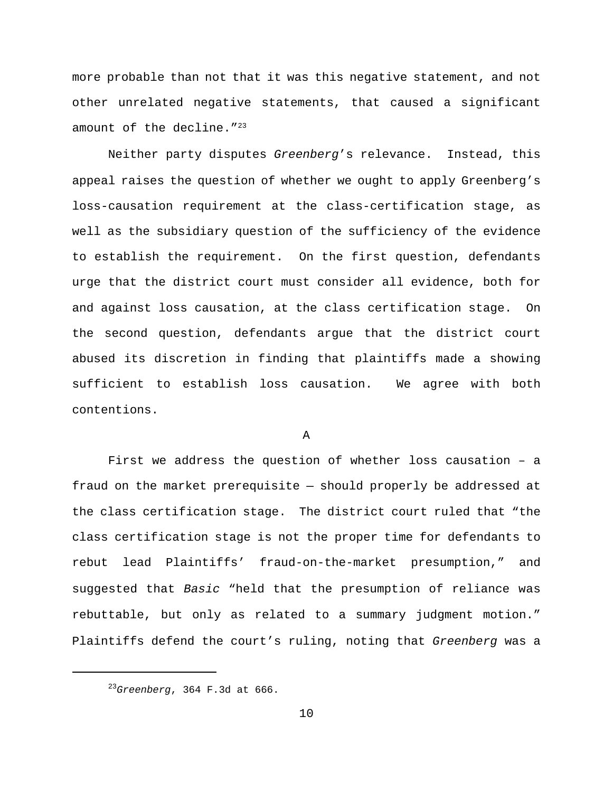more probable than not that it was this negative statement, and not other unrelated negative statements, that caused a significant amount of the decline."<sup>23</sup>

Neither party disputes *Greenberg*'s relevance. Instead, this appeal raises the question of whether we ought to apply Greenberg's loss-causation requirement at the class-certification stage, as well as the subsidiary question of the sufficiency of the evidence to establish the requirement. On the first question, defendants urge that the district court must consider all evidence, both for and against loss causation, at the class certification stage. On the second question, defendants argue that the district court abused its discretion in finding that plaintiffs made a showing sufficient to establish loss causation. We agree with both contentions.

A

First we address the question of whether loss causation – a fraud on the market prerequisite — should properly be addressed at the class certification stage. The district court ruled that "the class certification stage is not the proper time for defendants to rebut lead Plaintiffs' fraud-on-the-market presumption," and suggested that *Basic* "held that the presumption of reliance was rebuttable, but only as related to a summary judgment motion." Plaintiffs defend the court's ruling, noting that *Greenberg* was a

<sup>23</sup>*Greenberg*, 364 F.3d at 666.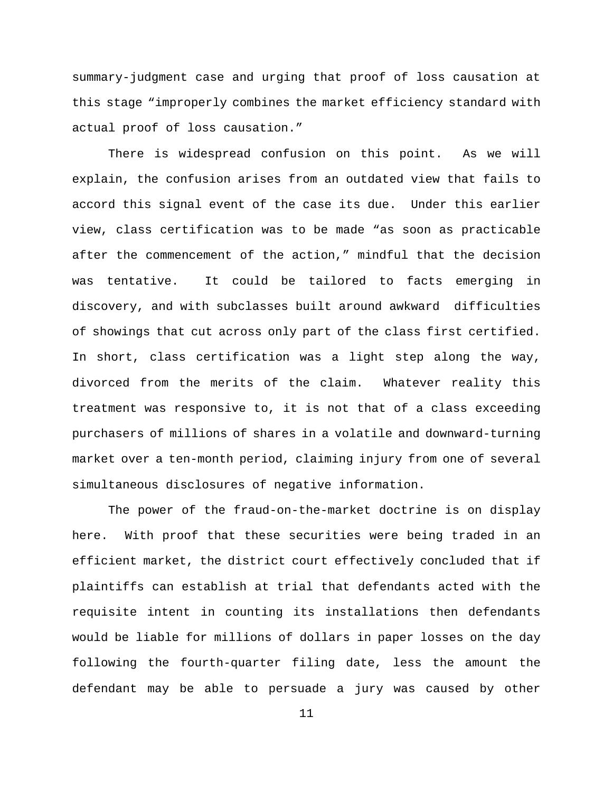summary-judgment case and urging that proof of loss causation at this stage "improperly combines the market efficiency standard with actual proof of loss causation."

There is widespread confusion on this point. As we will explain, the confusion arises from an outdated view that fails to accord this signal event of the case its due. Under this earlier view, class certification was to be made "as soon as practicable after the commencement of the action," mindful that the decision was tentative. It could be tailored to facts emerging in discovery, and with subclasses built around awkward difficulties of showings that cut across only part of the class first certified. In short, class certification was a light step along the way, divorced from the merits of the claim. Whatever reality this treatment was responsive to, it is not that of a class exceeding purchasers of millions of shares in a volatile and downward-turning market over a ten-month period, claiming injury from one of several simultaneous disclosures of negative information.

The power of the fraud-on-the-market doctrine is on display here. With proof that these securities were being traded in an efficient market, the district court effectively concluded that if plaintiffs can establish at trial that defendants acted with the requisite intent in counting its installations then defendants would be liable for millions of dollars in paper losses on the day following the fourth-quarter filing date, less the amount the defendant may be able to persuade a jury was caused by other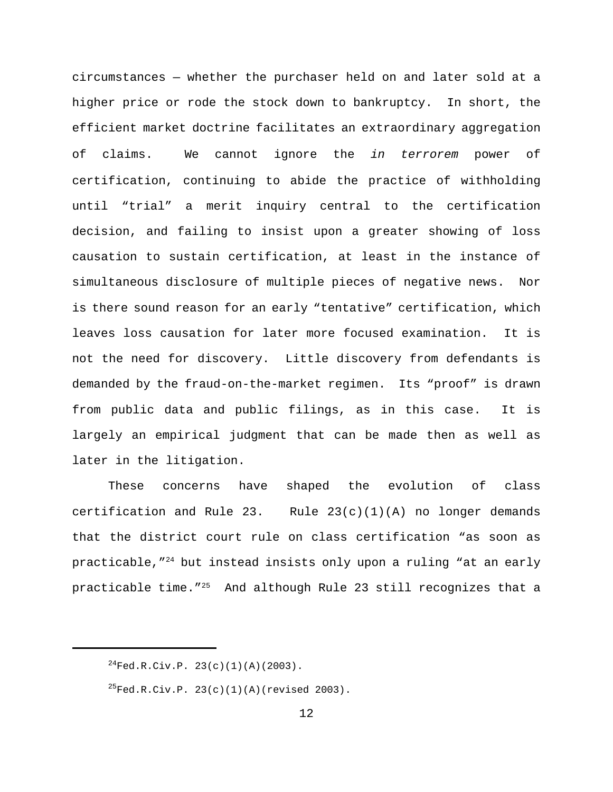circumstances — whether the purchaser held on and later sold at a higher price or rode the stock down to bankruptcy. In short, the efficient market doctrine facilitates an extraordinary aggregation of claims. We cannot ignore the *in terrorem* power of certification, continuing to abide the practice of withholding until "trial" a merit inquiry central to the certification decision, and failing to insist upon a greater showing of loss causation to sustain certification, at least in the instance of simultaneous disclosure of multiple pieces of negative news. Nor is there sound reason for an early "tentative" certification, which leaves loss causation for later more focused examination. It is not the need for discovery. Little discovery from defendants is demanded by the fraud-on-the-market regimen. Its "proof" is drawn from public data and public filings, as in this case. It is largely an empirical judgment that can be made then as well as later in the litigation.

These concerns have shaped the evolution of class certification and Rule 23. Rule  $23(c)(1)(A)$  no longer demands that the district court rule on class certification "as soon as practicable,  $T^{24}$  but instead insists only upon a ruling "at an early practicable time."<sup>25</sup> And although Rule 23 still recognizes that a

 $^{24}$ Fed.R.Civ.P. 23(c)(1)(A)(2003).

 $^{25}$ Fed.R.Civ.P. 23(c)(1)(A)(revised 2003).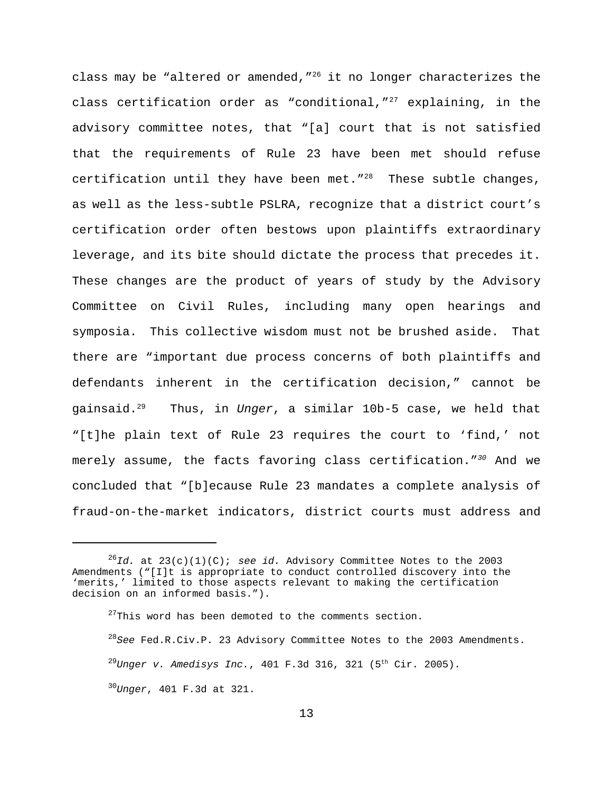class may be "altered or amended,  $''^{26}$  it no longer characterizes the class certification order as "conditional,  $127$  explaining, in the advisory committee notes, that "[a] court that is not satisfied that the requirements of Rule 23 have been met should refuse certification until they have been met." $^{28}$  These subtle changes, as well as the less-subtle PSLRA, recognize that a district court's certification order often bestows upon plaintiffs extraordinary leverage, and its bite should dictate the process that precedes it. These changes are the product of years of study by the Advisory Committee on Civil Rules, including many open hearings and symposia. This collective wisdom must not be brushed aside. That there are "important due process concerns of both plaintiffs and defendants inherent in the certification decision," cannot be gainsaid.<sup>29</sup> Thus, in *Unger*, a similar 10b-5 case, we held that "[t]he plain text of Rule 23 requires the court to 'find,' not merely assume, the facts favoring class certification."*<sup>30</sup>* And we concluded that "[b]ecause Rule 23 mandates a complete analysis of fraud-on-the-market indicators, district courts must address and

<sup>28</sup>*See* Fed.R.Civ.P. 23 Advisory Committee Notes to the 2003 Amendments. <sup>29</sup>*Unger v. Amedisys Inc.*, 401 F.3d 316, 321 (5th Cir. 2005). <sup>30</sup>*Unger*, 401 F.3d at 321.

 $^{26}Id.$  at  $23(c)(1)(C)$ ; *see id.* Advisory Committee Notes to the 2003 Amendments ("[I]t is appropriate to conduct controlled discovery into the 'merits,' limited to those aspects relevant to making the certification decision on an informed basis.").

 $^{27}$ This word has been demoted to the comments section.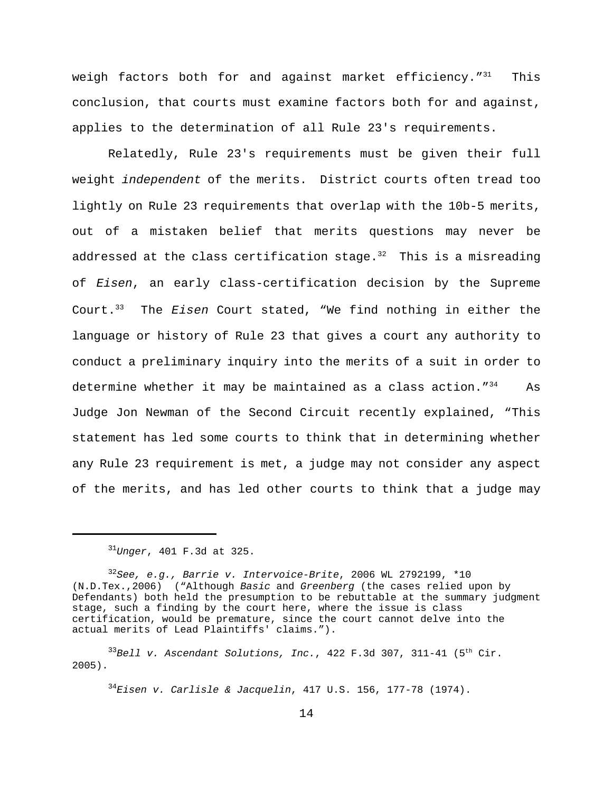weigh factors both for and against market efficiency. $1^{31}$  This conclusion, that courts must examine factors both for and against, applies to the determination of all Rule 23's requirements.

Relatedly, Rule 23's requirements must be given their full weight *independent* of the merits. District courts often tread too lightly on Rule 23 requirements that overlap with the 10b-5 merits, out of a mistaken belief that merits questions may never be addressed at the class certification stage. $32$  This is a misreading of *Eisen*, an early class-certification decision by the Supreme Court.<sup>33</sup> The *Eisen* Court stated, "We find nothing in either the language or history of Rule 23 that gives a court any authority to conduct a preliminary inquiry into the merits of a suit in order to determine whether it may be maintained as a class action.  $13^4$  As Judge Jon Newman of the Second Circuit recently explained, "This statement has led some courts to think that in determining whether any Rule 23 requirement is met, a judge may not consider any aspect of the merits, and has led other courts to think that a judge may

<sup>34</sup>*Eisen v. Carlisle & Jacquelin*, 417 U.S. 156, 177-78 (1974).

<sup>31</sup>*Unger*, 401 F.3d at 325.

<sup>32</sup>*See, e.g., Barrie v. Intervoice-Brite*, 2006 WL 2792199, \*10 (N.D.Tex.,2006) ("Although *Basic* and *Greenberg* (the cases relied upon by Defendants) both held the presumption to be rebuttable at the summary judgment stage, such a finding by the court here, where the issue is class certification, would be premature, since the court cannot delve into the actual merits of Lead Plaintiffs' claims.").

 $33B$ ell v. Ascendant Solutions, Inc., 422 F.3d 307, 311-41 (5<sup>th</sup> Cir. 2005).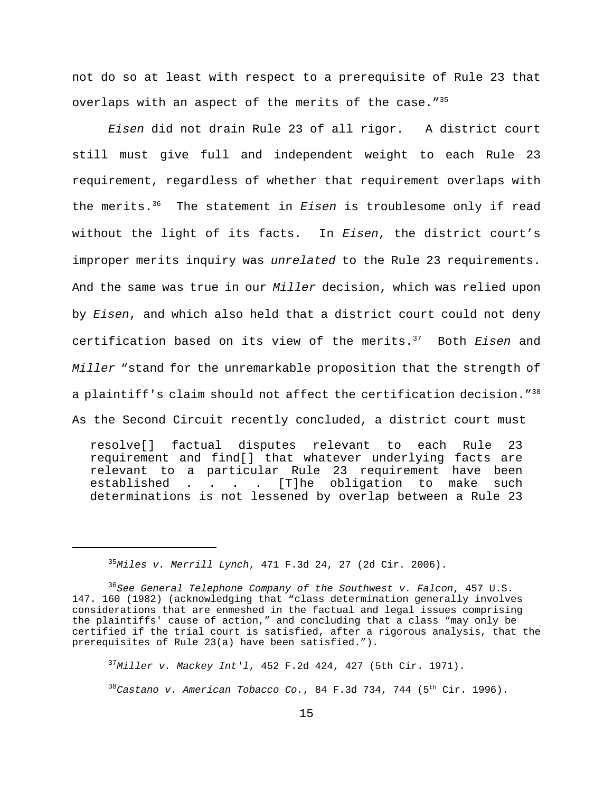not do so at least with respect to a prerequisite of Rule 23 that overlaps with an aspect of the merits of the case."<sup>35</sup>

*Eisen* did not drain Rule 23 of all rigor. A district court still must give full and independent weight to each Rule 23 requirement, regardless of whether that requirement overlaps with the merits.<sup>36</sup> The statement in *Eisen* is troublesome only if read without the light of its facts. In *Eisen*, the district court's improper merits inquiry was *unrelated* to the Rule 23 requirements. And the same was true in our *Miller* decision, which was relied upon by *Eisen*, and which also held that a district court could not deny certification based on its view of the merits.<sup>37</sup> Both *Eisen* and *Miller* "stand for the unremarkable proposition that the strength of a plaintiff's claim should not affect the certification decision."<sup>38</sup> As the Second Circuit recently concluded, a district court must

resolve[] factual disputes relevant to each Rule 23 requirement and find[] that whatever underlying facts are relevant to a particular Rule 23 requirement have been established . . . . [T]he obligation to make such determinations is not lessened by overlap between a Rule 23

<sup>35</sup>*Miles v. Merrill Lynch*, 471 F.3d 24, 27 (2d Cir. 2006).

<sup>37</sup>*Miller v. Mackey Int'l*, 452 F.2d 424, 427 (5th Cir. 1971).

 $38^3$ Castano v. American Tobacco Co., 84 F.3d 734, 744 (5<sup>th</sup> Cir. 1996).

<sup>36</sup>*See General Telephone Company of the Southwest v. Falcon*, 457 U.S. 147. 160 (1982) (acknowledging that "class determination generally involves considerations that are enmeshed in the factual and legal issues comprising the plaintiffs' cause of action," and concluding that a class "may only be certified if the trial court is satisfied, after a rigorous analysis, that the prerequisites of Rule 23(a) have been satisfied.").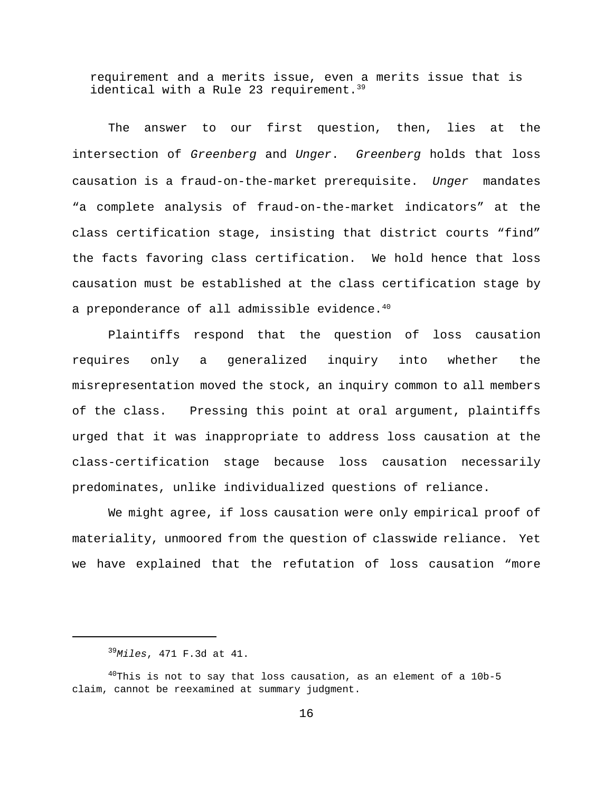requirement and a merits issue, even a merits issue that is identical with a Rule 23 requirement.<sup>39</sup>

The answer to our first question, then, lies at the intersection of *Greenberg* and *Unger*. *Greenberg* holds that loss causation is a fraud-on-the-market prerequisite. *Unger* mandates "a complete analysis of fraud-on-the-market indicators" at the class certification stage, insisting that district courts "find" the facts favoring class certification. We hold hence that loss causation must be established at the class certification stage by a preponderance of all admissible evidence.<sup>40</sup>

Plaintiffs respond that the question of loss causation requires only a generalized inquiry into whether the misrepresentation moved the stock, an inquiry common to all members of the class. Pressing this point at oral argument, plaintiffs urged that it was inappropriate to address loss causation at the class-certification stage because loss causation necessarily predominates, unlike individualized questions of reliance.

We might agree, if loss causation were only empirical proof of materiality, unmoored from the question of classwide reliance. Yet we have explained that the refutation of loss causation "more

<sup>39</sup>*Miles*, 471 F.3d at 41.

 $^{40}$ This is not to say that loss causation, as an element of a 10b-5 claim, cannot be reexamined at summary judgment.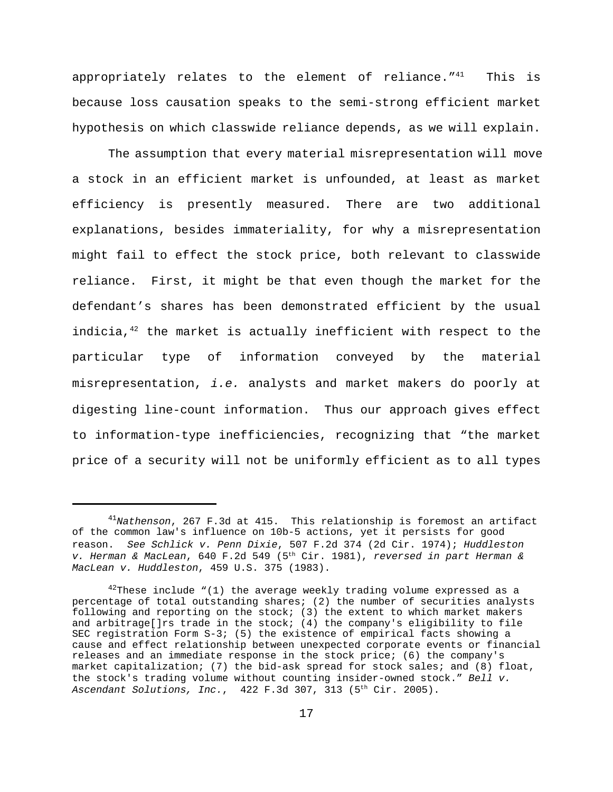appropriately relates to the element of reliance. $141$  This is because loss causation speaks to the semi-strong efficient market hypothesis on which classwide reliance depends, as we will explain.

The assumption that every material misrepresentation will move a stock in an efficient market is unfounded, at least as market efficiency is presently measured. There are two additional explanations, besides immateriality, for why a misrepresentation might fail to effect the stock price, both relevant to classwide reliance. First, it might be that even though the market for the defendant's shares has been demonstrated efficient by the usual indicia, $42$  the market is actually inefficient with respect to the particular type of information conveyed by the material misrepresentation, *i.e.* analysts and market makers do poorly at digesting line-count information. Thus our approach gives effect to information-type inefficiencies, recognizing that "the market price of a security will not be uniformly efficient as to all types

<sup>41</sup>*Nathenson*, 267 F.3d at 415. This relationship is foremost an artifact of the common law's influence on 10b-5 actions, yet it persists for good reason. *See Schlick v. Penn Dixie*, 507 F.2d 374 (2d Cir. 1974); *Huddleston v. Herman & MacLean*, 640 F.2d 549 (5th Cir. 1981), *reversed in part Herman & MacLean v. Huddleston*, 459 U.S. 375 (1983).

 $42$ These include "(1) the average weekly trading volume expressed as a percentage of total outstanding shares; (2) the number of securities analysts following and reporting on the stock; (3) the extent to which market makers and arbitrage[]rs trade in the stock;  $(4)$  the company's eligibility to file SEC registration Form S-3; (5) the existence of empirical facts showing a cause and effect relationship between unexpected corporate events or financial releases and an immediate response in the stock price; (6) the company's market capitalization; (7) the bid-ask spread for stock sales; and (8) float, the stock's trading volume without counting insider-owned stock." *Bell v. Ascendant Solutions, Inc.*, 422 F.3d 307, 313 (5th Cir. 2005).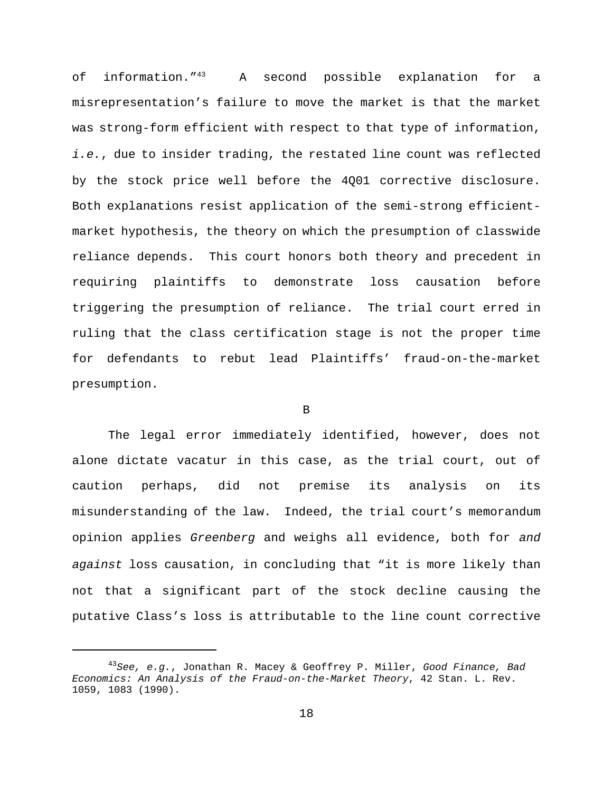of information."<sup>43</sup> A second possible explanation for a misrepresentation's failure to move the market is that the market was strong-form efficient with respect to that type of information, *i.e.*, due to insider trading, the restated line count was reflected by the stock price well before the 4Q01 corrective disclosure. Both explanations resist application of the semi-strong efficientmarket hypothesis, the theory on which the presumption of classwide reliance depends. This court honors both theory and precedent in requiring plaintiffs to demonstrate loss causation before triggering the presumption of reliance. The trial court erred in ruling that the class certification stage is not the proper time for defendants to rebut lead Plaintiffs' fraud-on-the-market presumption.

### B

The legal error immediately identified, however, does not alone dictate vacatur in this case, as the trial court, out of caution perhaps, did not premise its analysis on its misunderstanding of the law. Indeed, the trial court's memorandum opinion applies *Greenberg* and weighs all evidence, both for *and against* loss causation, in concluding that "it is more likely than not that a significant part of the stock decline causing the putative Class's loss is attributable to the line count corrective

<sup>43</sup>*See, e.g.*, Jonathan R. Macey & Geoffrey P. Miller, *Good Finance, Bad Economics: An Analysis of the Fraud-on-the-Market Theory*, 42 Stan. L. Rev. 1059, 1083 (1990).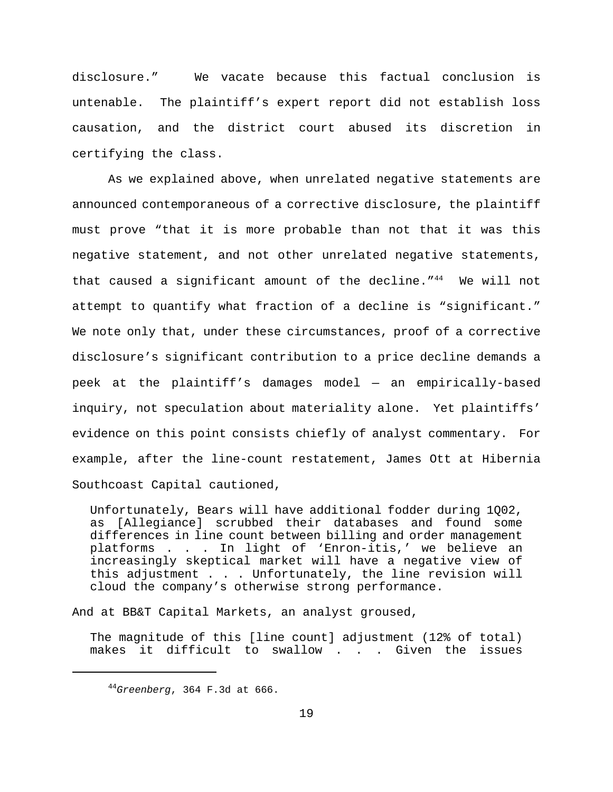disclosure." We vacate because this factual conclusion is untenable. The plaintiff's expert report did not establish loss causation, and the district court abused its discretion in certifying the class.

As we explained above, when unrelated negative statements are announced contemporaneous of a corrective disclosure, the plaintiff must prove "that it is more probable than not that it was this negative statement, and not other unrelated negative statements, that caused a significant amount of the decline."<sup>44</sup> We will not attempt to quantify what fraction of a decline is "significant." We note only that, under these circumstances, proof of a corrective disclosure's significant contribution to a price decline demands a peek at the plaintiff's damages model — an empirically-based inquiry, not speculation about materiality alone. Yet plaintiffs' evidence on this point consists chiefly of analyst commentary. For example, after the line-count restatement, James Ott at Hibernia Southcoast Capital cautioned,

Unfortunately, Bears will have additional fodder during 1Q02, as [Allegiance] scrubbed their databases and found some differences in line count between billing and order management platforms . . . In light of 'Enron-itis,' we believe an increasingly skeptical market will have a negative view of this adjustment . . . Unfortunately, the line revision will cloud the company's otherwise strong performance.

And at BB&T Capital Markets, an analyst groused,

The magnitude of this [line count] adjustment (12% of total) makes it difficult to swallow . . . Given the issues

<sup>44</sup>*Greenberg*, 364 F.3d at 666.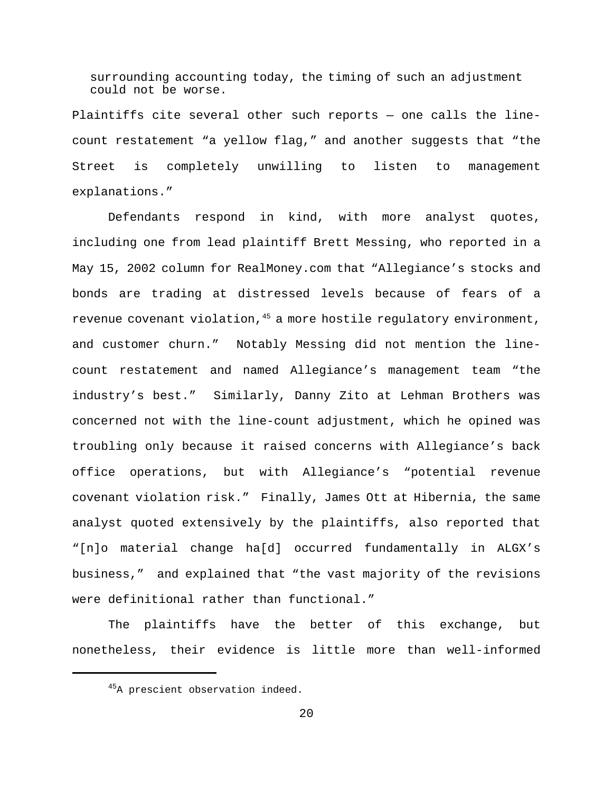surrounding accounting today, the timing of such an adjustment could not be worse.

Plaintiffs cite several other such reports — one calls the linecount restatement "a yellow flag," and another suggests that "the Street is completely unwilling to listen to management explanations."

Defendants respond in kind, with more analyst quotes, including one from lead plaintiff Brett Messing, who reported in a May 15, 2002 column for RealMoney.com that "Allegiance's stocks and bonds are trading at distressed levels because of fears of a revenue covenant violation,  $45$  a more hostile regulatory environment, and customer churn." Notably Messing did not mention the linecount restatement and named Allegiance's management team "the industry's best." Similarly, Danny Zito at Lehman Brothers was concerned not with the line-count adjustment, which he opined was troubling only because it raised concerns with Allegiance's back office operations, but with Allegiance's "potential revenue covenant violation risk." Finally, James Ott at Hibernia, the same analyst quoted extensively by the plaintiffs, also reported that "[n]o material change ha[d] occurred fundamentally in ALGX's business," and explained that "the vast majority of the revisions were definitional rather than functional."

The plaintiffs have the better of this exchange, but nonetheless, their evidence is little more than well-informed

<sup>&</sup>lt;sup>45</sup>A prescient observation indeed.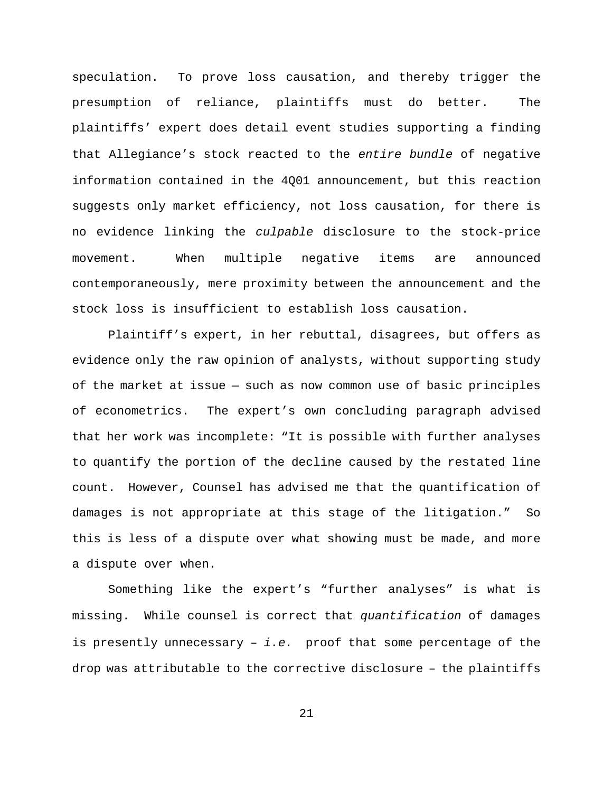speculation. To prove loss causation, and thereby trigger the presumption of reliance, plaintiffs must do better. The plaintiffs' expert does detail event studies supporting a finding that Allegiance's stock reacted to the *entire bundle* of negative information contained in the 4Q01 announcement, but this reaction suggests only market efficiency, not loss causation, for there is no evidence linking the *culpable* disclosure to the stock-price movement. When multiple negative items are announced contemporaneously, mere proximity between the announcement and the stock loss is insufficient to establish loss causation.

Plaintiff's expert, in her rebuttal, disagrees, but offers as evidence only the raw opinion of analysts, without supporting study of the market at issue — such as now common use of basic principles of econometrics. The expert's own concluding paragraph advised that her work was incomplete: "It is possible with further analyses to quantify the portion of the decline caused by the restated line count. However, Counsel has advised me that the quantification of damages is not appropriate at this stage of the litigation." So this is less of a dispute over what showing must be made, and more a dispute over when.

Something like the expert's "further analyses" is what is missing. While counsel is correct that *quantification* of damages is presently unnecessary – *i.e.* proof that some percentage of the drop was attributable to the corrective disclosure – the plaintiffs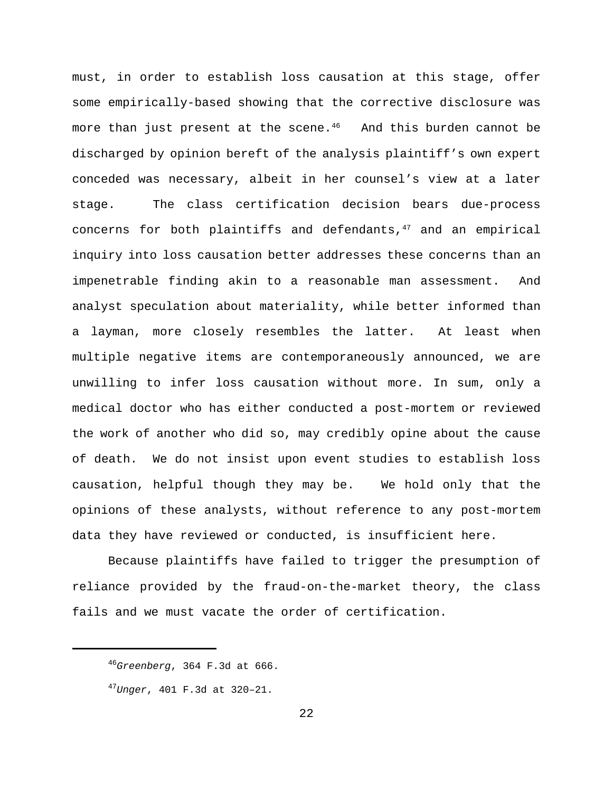must, in order to establish loss causation at this stage, offer some empirically-based showing that the corrective disclosure was more than just present at the scene.<sup>46</sup> And this burden cannot be discharged by opinion bereft of the analysis plaintiff's own expert conceded was necessary, albeit in her counsel's view at a later stage. The class certification decision bears due-process concerns for both plaintiffs and defendants, $47$  and an empirical inquiry into loss causation better addresses these concerns than an impenetrable finding akin to a reasonable man assessment. And analyst speculation about materiality, while better informed than a layman, more closely resembles the latter. At least when multiple negative items are contemporaneously announced, we are unwilling to infer loss causation without more. In sum, only a medical doctor who has either conducted a post-mortem or reviewed the work of another who did so, may credibly opine about the cause of death. We do not insist upon event studies to establish loss causation, helpful though they may be. We hold only that the opinions of these analysts, without reference to any post-mortem data they have reviewed or conducted, is insufficient here.

Because plaintiffs have failed to trigger the presumption of reliance provided by the fraud-on-the-market theory, the class fails and we must vacate the order of certification.

<sup>46</sup>*Greenberg*, 364 F.3d at 666.

<sup>47</sup>*Unger*, 401 F.3d at 320–21.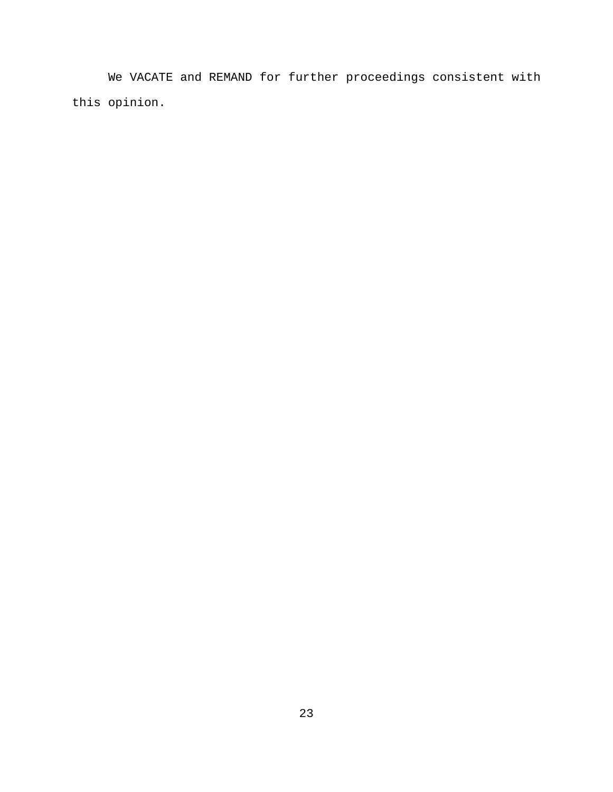We VACATE and REMAND for further proceedings consistent with this opinion.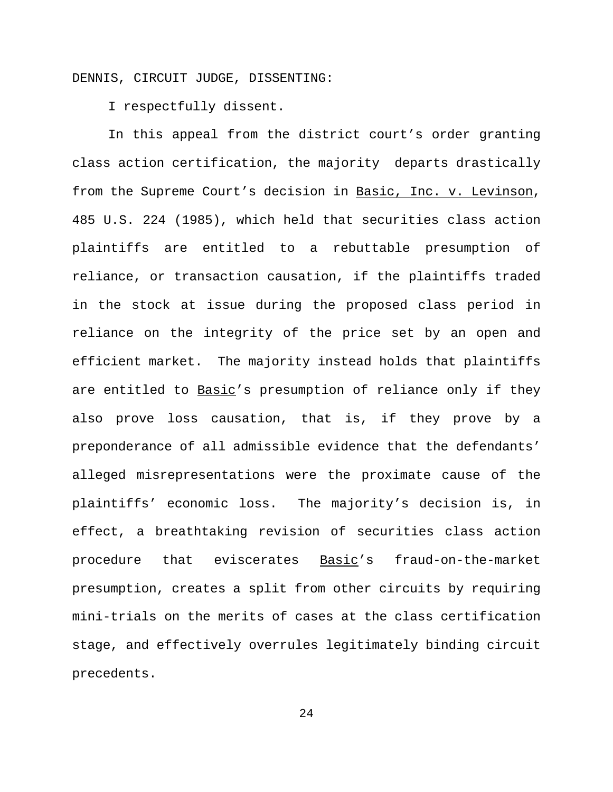DENNIS, CIRCUIT JUDGE, DISSENTING:

I respectfully dissent.

In this appeal from the district court's order granting class action certification, the majority departs drastically from the Supreme Court's decision in Basic, Inc. v. Levinson, 485 U.S. 224 (1985), which held that securities class action plaintiffs are entitled to a rebuttable presumption of reliance, or transaction causation, if the plaintiffs traded in the stock at issue during the proposed class period in reliance on the integrity of the price set by an open and efficient market. The majority instead holds that plaintiffs are entitled to Basic's presumption of reliance only if they also prove loss causation, that is, if they prove by a preponderance of all admissible evidence that the defendants' alleged misrepresentations were the proximate cause of the plaintiffs' economic loss. The majority's decision is, in effect, a breathtaking revision of securities class action procedure that eviscerates Basic's fraud-on-the-market presumption, creates a split from other circuits by requiring mini-trials on the merits of cases at the class certification stage, and effectively overrules legitimately binding circuit precedents.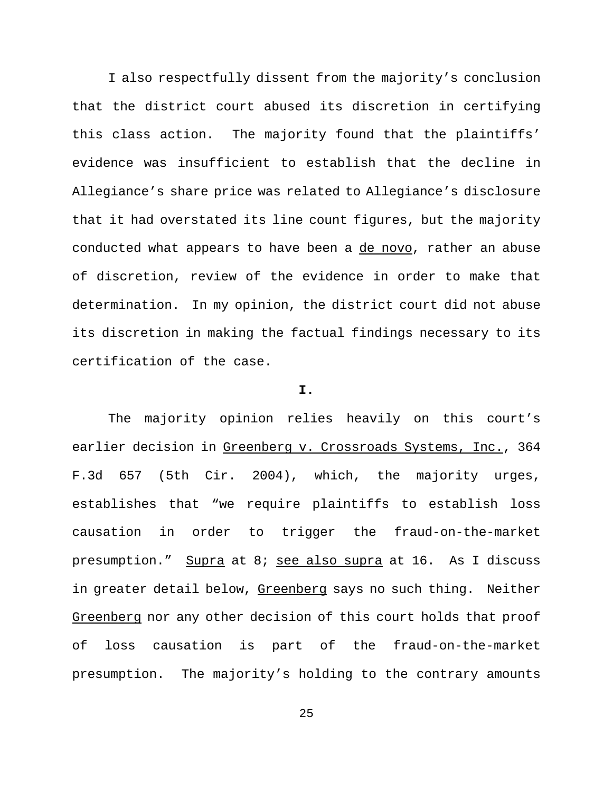I also respectfully dissent from the majority's conclusion that the district court abused its discretion in certifying this class action. The majority found that the plaintiffs' evidence was insufficient to establish that the decline in Allegiance's share price was related to Allegiance's disclosure that it had overstated its line count figures, but the majority conducted what appears to have been a de novo, rather an abuse of discretion, review of the evidence in order to make that determination. In my opinion, the district court did not abuse its discretion in making the factual findings necessary to its certification of the case.

# **I.**

The majority opinion relies heavily on this court's earlier decision in Greenberg v. Crossroads Systems, Inc., 364 F.3d 657 (5th Cir. 2004), which, the majority urges, establishes that "we require plaintiffs to establish loss causation in order to trigger the fraud-on-the-market presumption." Supra at 8; see also supra at 16. As I discuss in greater detail below, Greenberg says no such thing. Neither Greenberg nor any other decision of this court holds that proof of loss causation is part of the fraud-on-the-market presumption. The majority's holding to the contrary amounts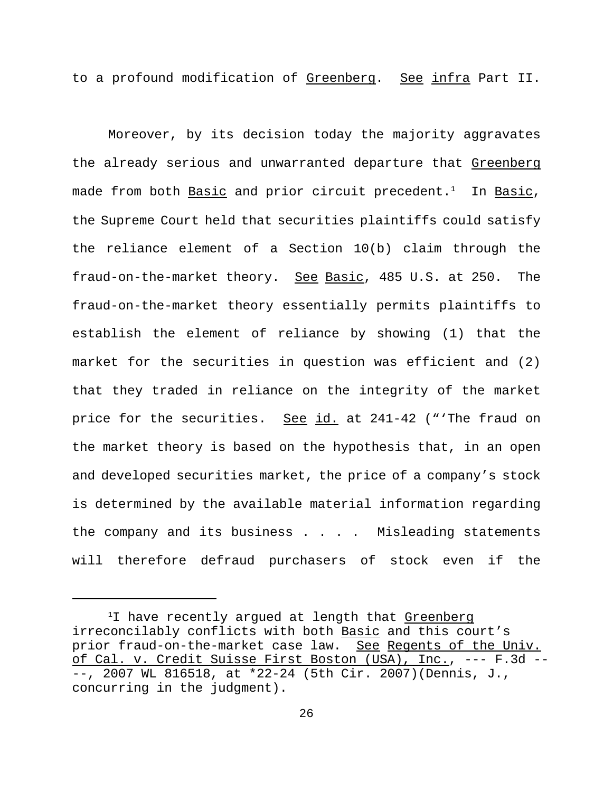to a profound modification of Greenberg. See infra Part II.

Moreover, by its decision today the majority aggravates the already serious and unwarranted departure that Greenberg made from both Basic and prior circuit precedent.<sup>1</sup> In Basic, the Supreme Court held that securities plaintiffs could satisfy the reliance element of a Section 10(b) claim through the fraud-on-the-market theory. See Basic, 485 U.S. at 250. The fraud-on-the-market theory essentially permits plaintiffs to establish the element of reliance by showing (1) that the market for the securities in question was efficient and (2) that they traded in reliance on the integrity of the market price for the securities. See id. at 241-42 ("'The fraud on the market theory is based on the hypothesis that, in an open and developed securities market, the price of a company's stock is determined by the available material information regarding the company and its business . . . . Misleading statements will therefore defraud purchasers of stock even if the

<sup>&</sup>lt;sup>1</sup>I have recently arqued at length that Greenberg irreconcilably conflicts with both Basic and this court's prior fraud-on-the-market case law. See Regents of the Univ. of Cal. v. Credit Suisse First Boston (USA), Inc., --- F.3d -- --, 2007 WL 816518, at \*22-24 (5th Cir. 2007)(Dennis, J., concurring in the judgment).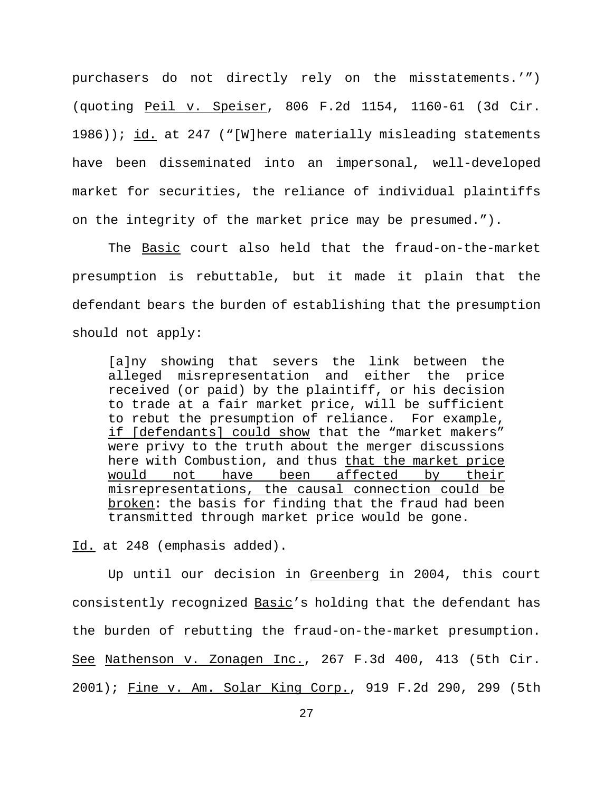purchasers do not directly rely on the misstatements.'") (quoting Peil v. Speiser, 806 F.2d 1154, 1160-61 (3d Cir. 1986)); id. at 247 ("[W]here materially misleading statements have been disseminated into an impersonal, well-developed market for securities, the reliance of individual plaintiffs on the integrity of the market price may be presumed.").

The Basic court also held that the fraud-on-the-market presumption is rebuttable, but it made it plain that the defendant bears the burden of establishing that the presumption should not apply:

[a]ny showing that severs the link between the alleged misrepresentation and either the price received (or paid) by the plaintiff, or his decision to trade at a fair market price, will be sufficient to rebut the presumption of reliance. For example, if [defendants] could show that the "market makers" were privy to the truth about the merger discussions here with Combustion, and thus that the market price would not have been affected by their misrepresentations, the causal connection could be broken: the basis for finding that the fraud had been transmitted through market price would be gone.

Id. at 248 (emphasis added).

Up until our decision in Greenberg in 2004, this court consistently recognized Basic's holding that the defendant has the burden of rebutting the fraud-on-the-market presumption. See Nathenson v. Zonagen Inc., 267 F.3d 400, 413 (5th Cir. 2001); Fine v. Am. Solar King Corp., 919 F.2d 290, 299 (5th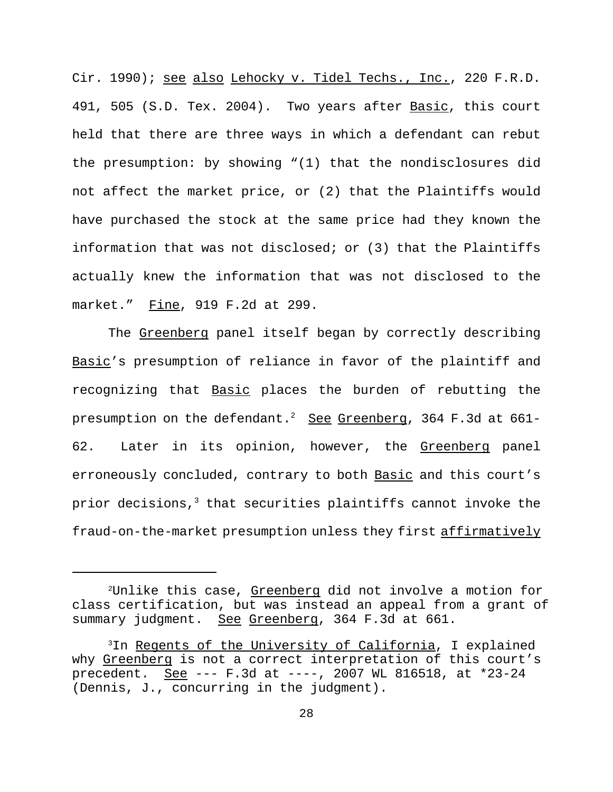Cir. 1990); see also Lehocky v. Tidel Techs., Inc., 220 F.R.D. 491, 505 (S.D. Tex. 2004). Two years after Basic, this court held that there are three ways in which a defendant can rebut the presumption: by showing "(1) that the nondisclosures did not affect the market price, or (2) that the Plaintiffs would have purchased the stock at the same price had they known the information that was not disclosed; or (3) that the Plaintiffs actually knew the information that was not disclosed to the market." Fine, 919 F.2d at 299.

The Greenberg panel itself began by correctly describing Basic's presumption of reliance in favor of the plaintiff and recognizing that Basic places the burden of rebutting the presumption on the defendant.<sup>2</sup> See Greenberg, 364 F.3d at 661-62. Later in its opinion, however, the Greenberg panel erroneously concluded, contrary to both Basic and this court's prior decisions, $3$  that securities plaintiffs cannot invoke the fraud-on-the-market presumption unless they first affirmatively

<sup>&</sup>lt;sup>2</sup>Unlike this case, Greenberg did not involve a motion for class certification, but was instead an appeal from a grant of summary judgment. See Greenberg, 364 F.3d at 661.

<sup>3</sup>In Regents of the University of California, I explained why Greenberg is not a correct interpretation of this court's precedent. See --- F.3d at ----, 2007 WL 816518, at \*23-24 (Dennis, J., concurring in the judgment).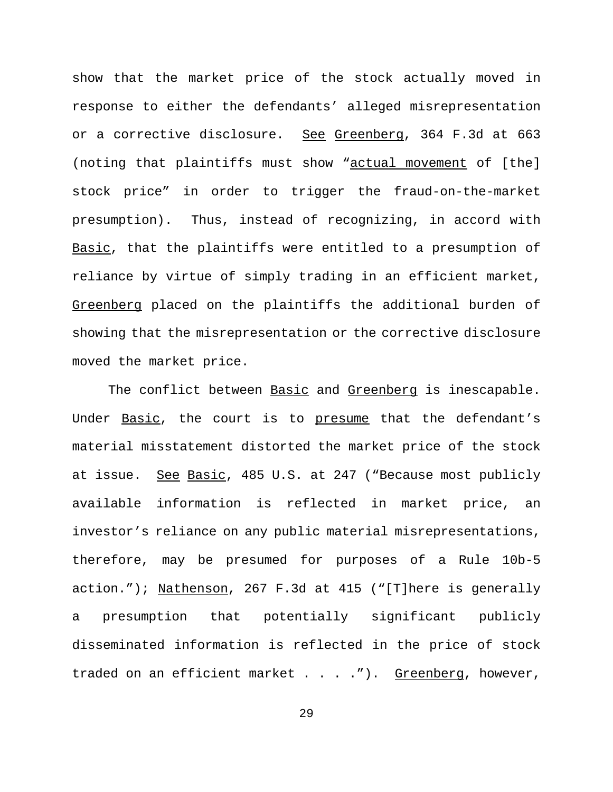show that the market price of the stock actually moved in response to either the defendants' alleged misrepresentation or a corrective disclosure. See Greenberg, 364 F.3d at 663 (noting that plaintiffs must show "actual movement of [the] stock price" in order to trigger the fraud-on-the-market presumption). Thus, instead of recognizing, in accord with Basic, that the plaintiffs were entitled to a presumption of reliance by virtue of simply trading in an efficient market, Greenberg placed on the plaintiffs the additional burden of showing that the misrepresentation or the corrective disclosure moved the market price.

The conflict between Basic and Greenberg is inescapable. Under Basic, the court is to presume that the defendant's material misstatement distorted the market price of the stock at issue. See Basic, 485 U.S. at 247 ("Because most publicly available information is reflected in market price, an investor's reliance on any public material misrepresentations, therefore, may be presumed for purposes of a Rule 10b-5 action."); Nathenson, 267 F.3d at 415 ("[T]here is generally a presumption that potentially significant publicly disseminated information is reflected in the price of stock traded on an efficient market  $\ldots$  . . . . . . . Greenberg, however,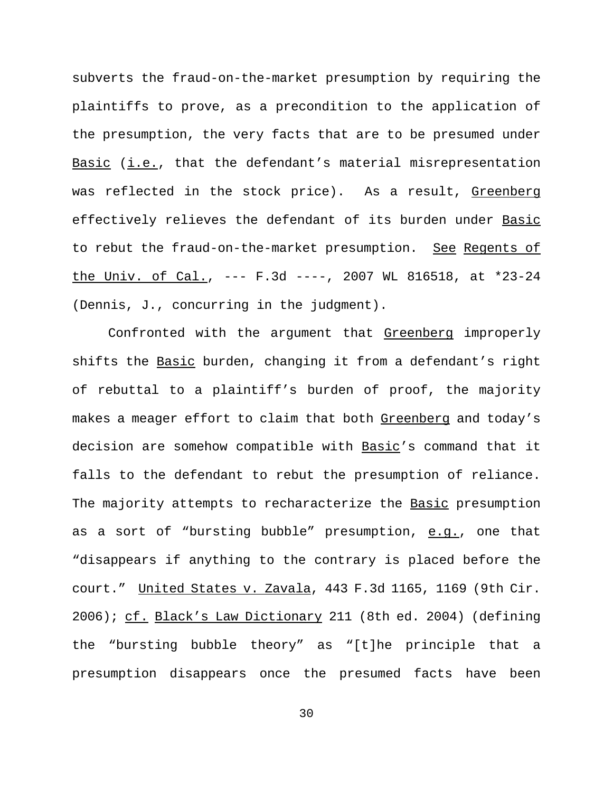subverts the fraud-on-the-market presumption by requiring the plaintiffs to prove, as a precondition to the application of the presumption, the very facts that are to be presumed under Basic  $(i.e., that the defendant's material misrepresentation$ was reflected in the stock price). As a result, Greenberg effectively relieves the defendant of its burden under Basic to rebut the fraud-on-the-market presumption. See Regents of the Univ. of Cal., --- F.3d ----, 2007 WL 816518, at \*23-24 (Dennis, J., concurring in the judgment).

Confronted with the argument that Greenberg improperly shifts the Basic burden, changing it from a defendant's right of rebuttal to a plaintiff's burden of proof, the majority makes a meager effort to claim that both Greenberg and today's decision are somehow compatible with Basic's command that it falls to the defendant to rebut the presumption of reliance. The majority attempts to recharacterize the Basic presumption as a sort of "bursting bubble" presumption, e.g., one that "disappears if anything to the contrary is placed before the court." United States v. Zavala, 443 F.3d 1165, 1169 (9th Cir. 2006); cf. Black's Law Dictionary 211 (8th ed. 2004) (defining the "bursting bubble theory" as "[t]he principle that a presumption disappears once the presumed facts have been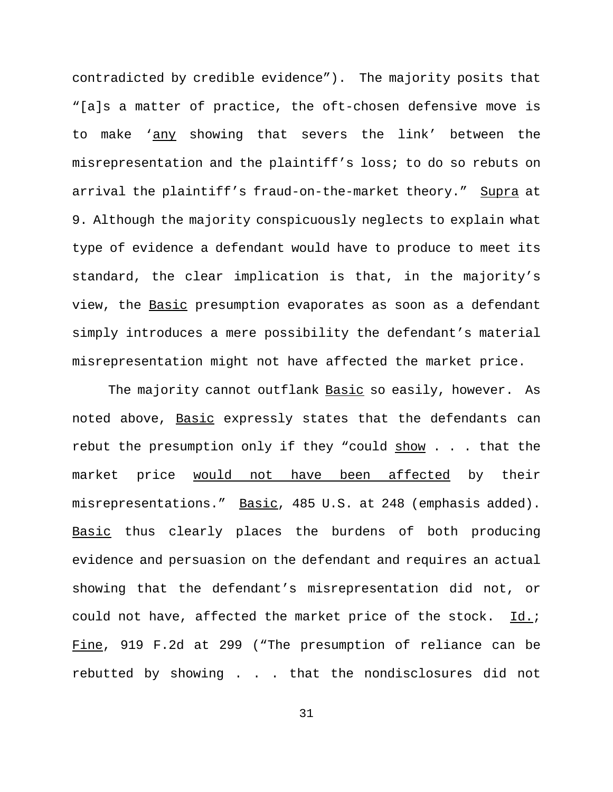contradicted by credible evidence"). The majority posits that "[a]s a matter of practice, the oft-chosen defensive move is to make 'any showing that severs the link' between the misrepresentation and the plaintiff's loss; to do so rebuts on arrival the plaintiff's fraud-on-the-market theory." Supra at 9. Although the majority conspicuously neglects to explain what type of evidence a defendant would have to produce to meet its standard, the clear implication is that, in the majority's view, the **Basic** presumption evaporates as soon as a defendant simply introduces a mere possibility the defendant's material misrepresentation might not have affected the market price.

The majority cannot outflank Basic so easily, however. As noted above, Basic expressly states that the defendants can rebut the presumption only if they "could  $show$ ... that the market price would not have been affected by their misrepresentations." Basic, 485 U.S. at 248 (emphasis added). Basic thus clearly places the burdens of both producing evidence and persuasion on the defendant and requires an actual showing that the defendant's misrepresentation did not, or could not have, affected the market price of the stock. Id.; Fine, 919 F.2d at 299 ("The presumption of reliance can be rebutted by showing . . . that the nondisclosures did not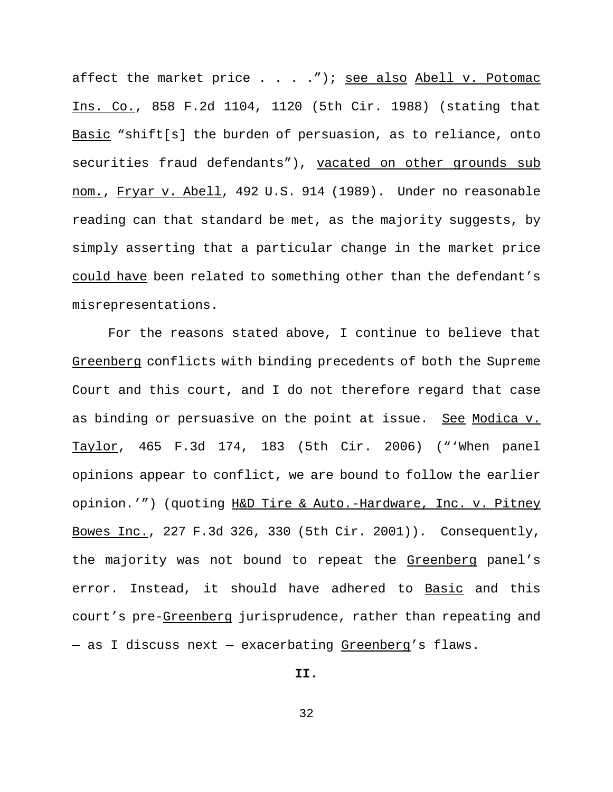affect the market price  $\ldots$  . . . "); see also Abell v. Potomac Ins. Co., 858 F.2d 1104, 1120 (5th Cir. 1988) (stating that Basic "shift[s] the burden of persuasion, as to reliance, onto securities fraud defendants"), vacated on other grounds sub nom., Fryar v. Abell, 492 U.S. 914 (1989). Under no reasonable reading can that standard be met, as the majority suggests, by simply asserting that a particular change in the market price could have been related to something other than the defendant's misrepresentations.

For the reasons stated above, I continue to believe that Greenberg conflicts with binding precedents of both the Supreme Court and this court, and I do not therefore regard that case as binding or persuasive on the point at issue. See Modica v. Taylor, 465 F.3d 174, 183 (5th Cir. 2006) ("'When panel opinions appear to conflict, we are bound to follow the earlier opinion.'") (quoting H&D Tire & Auto.-Hardware, Inc. v. Pitney Bowes Inc., 227 F.3d 326, 330 (5th Cir. 2001)). Consequently, the majority was not bound to repeat the Greenberg panel's error. Instead, it should have adhered to Basic and this court's pre-Greenberg jurisprudence, rather than repeating and - as I discuss next - exacerbating Greenberg's flaws.

## **II.**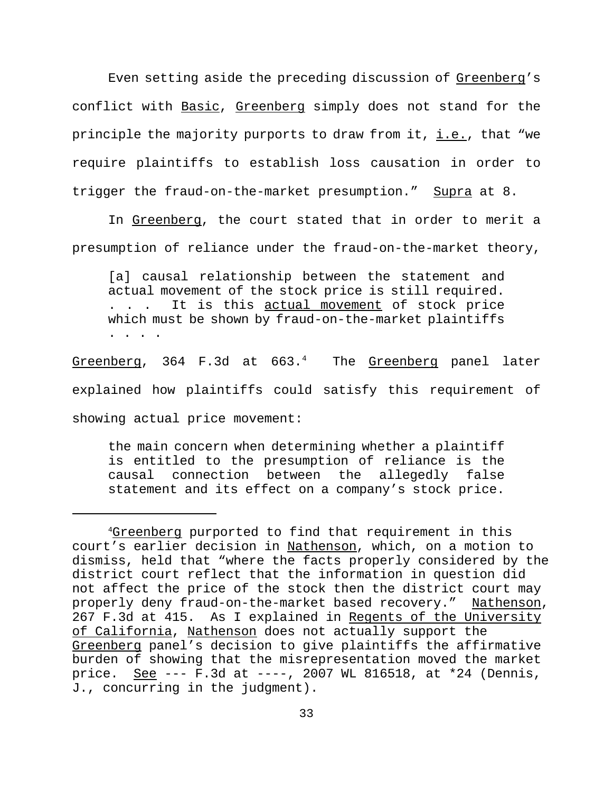Even setting aside the preceding discussion of Greenberg's conflict with Basic, Greenberg simply does not stand for the principle the majority purports to draw from it, i.e., that "we require plaintiffs to establish loss causation in order to trigger the fraud-on-the-market presumption." Supra at 8.

In Greenberg, the court stated that in order to merit a presumption of reliance under the fraud-on-the-market theory,

[a] causal relationship between the statement and actual movement of the stock price is still required. . . . It is this actual movement of stock price which must be shown by fraud-on-the-market plaintiffs . . . .

Greenberg,  $364$  F.3d at  $663.^4$  The Greenberg panel later explained how plaintiffs could satisfy this requirement of showing actual price movement:

the main concern when determining whether a plaintiff is entitled to the presumption of reliance is the causal connection between the allegedly false statement and its effect on a company's stock price.

<sup>4</sup>Greenberg purported to find that requirement in this court's earlier decision in Nathenson, which, on a motion to dismiss, held that "where the facts properly considered by the district court reflect that the information in question did not affect the price of the stock then the district court may properly deny fraud-on-the-market based recovery." Nathenson, 267 F.3d at 415. As I explained in Regents of the University of California, Nathenson does not actually support the Greenberg panel's decision to give plaintiffs the affirmative burden of showing that the misrepresentation moved the market price. See --- F.3d at ----, 2007 WL 816518, at \*24 (Dennis, J., concurring in the judgment).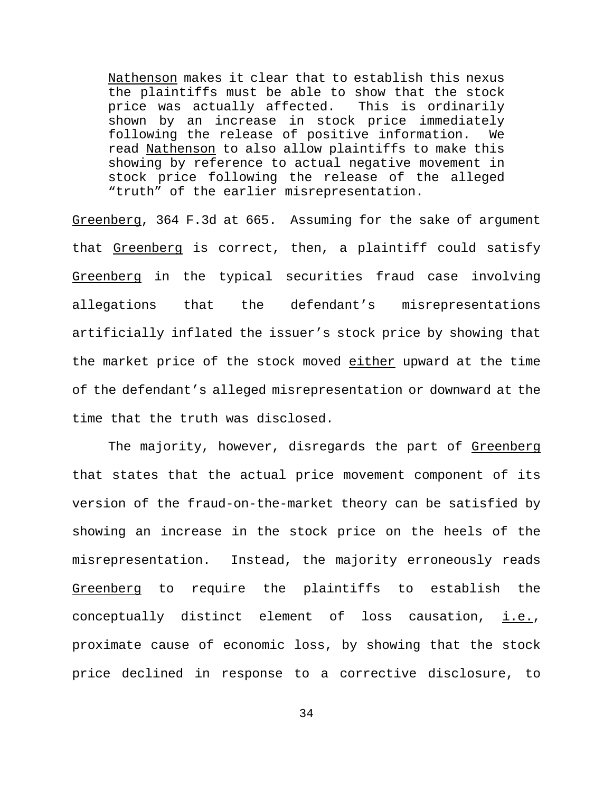Nathenson makes it clear that to establish this nexus the plaintiffs must be able to show that the stock price was actually affected. This is ordinarily shown by an increase in stock price immediately following the release of positive information. We read Nathenson to also allow plaintiffs to make this showing by reference to actual negative movement in stock price following the release of the alleged "truth" of the earlier misrepresentation.

Greenberg, 364 F.3d at 665. Assuming for the sake of argument that Greenberg is correct, then, a plaintiff could satisfy Greenberg in the typical securities fraud case involving allegations that the defendant's misrepresentations artificially inflated the issuer's stock price by showing that the market price of the stock moved either upward at the time of the defendant's alleged misrepresentation or downward at the time that the truth was disclosed.

The majority, however, disregards the part of Greenberg that states that the actual price movement component of its version of the fraud-on-the-market theory can be satisfied by showing an increase in the stock price on the heels of the misrepresentation. Instead, the majority erroneously reads Greenberg to require the plaintiffs to establish the conceptually distinct element of loss causation, i.e., proximate cause of economic loss, by showing that the stock price declined in response to a corrective disclosure, to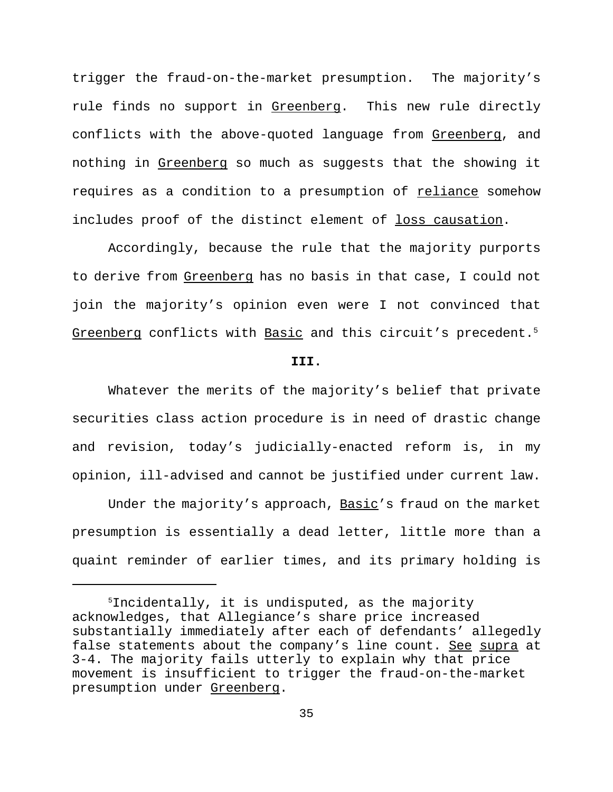trigger the fraud-on-the-market presumption. The majority's rule finds no support in Greenberg. This new rule directly conflicts with the above-quoted language from Greenberg, and nothing in Greenberg so much as suggests that the showing it requires as a condition to a presumption of reliance somehow includes proof of the distinct element of loss causation.

Accordingly, because the rule that the majority purports to derive from Greenberg has no basis in that case, I could not join the majority's opinion even were I not convinced that Greenberg conflicts with Basic and this circuit's precedent.<sup>5</sup>

### **III.**

Whatever the merits of the majority's belief that private securities class action procedure is in need of drastic change and revision, today's judicially-enacted reform is, in my opinion, ill-advised and cannot be justified under current law.

Under the majority's approach, Basic's fraud on the market presumption is essentially a dead letter, little more than a quaint reminder of earlier times, and its primary holding is

<sup>5</sup>Incidentally, it is undisputed, as the majority acknowledges, that Allegiance's share price increased substantially immediately after each of defendants' allegedly false statements about the company's line count. See supra at 3-4. The majority fails utterly to explain why that price movement is insufficient to trigger the fraud-on-the-market presumption under Greenberg.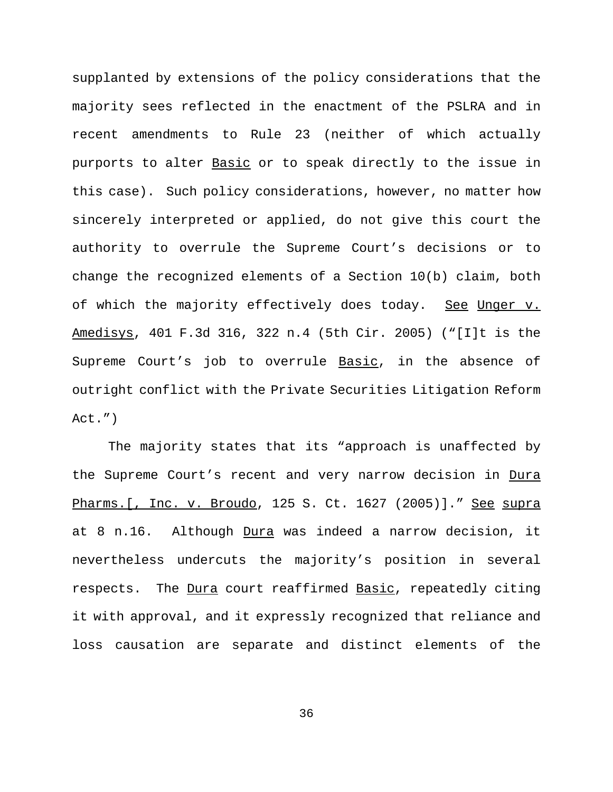supplanted by extensions of the policy considerations that the majority sees reflected in the enactment of the PSLRA and in recent amendments to Rule 23 (neither of which actually purports to alter Basic or to speak directly to the issue in this case). Such policy considerations, however, no matter how sincerely interpreted or applied, do not give this court the authority to overrule the Supreme Court's decisions or to change the recognized elements of a Section 10(b) claim, both of which the majority effectively does today. See Unger v. Amedisys, 401 F.3d 316, 322 n.4 (5th Cir. 2005) ("[I]t is the Supreme Court's job to overrule Basic, in the absence of outright conflict with the Private Securities Litigation Reform Act.")

The majority states that its "approach is unaffected by the Supreme Court's recent and very narrow decision in Dura Pharms. [, Inc. v. Broudo, 125 S. Ct. 1627 (2005)]. " See supra at 8 n.16. Although Dura was indeed a narrow decision, it nevertheless undercuts the majority's position in several respects. The Dura court reaffirmed Basic, repeatedly citing it with approval, and it expressly recognized that reliance and loss causation are separate and distinct elements of the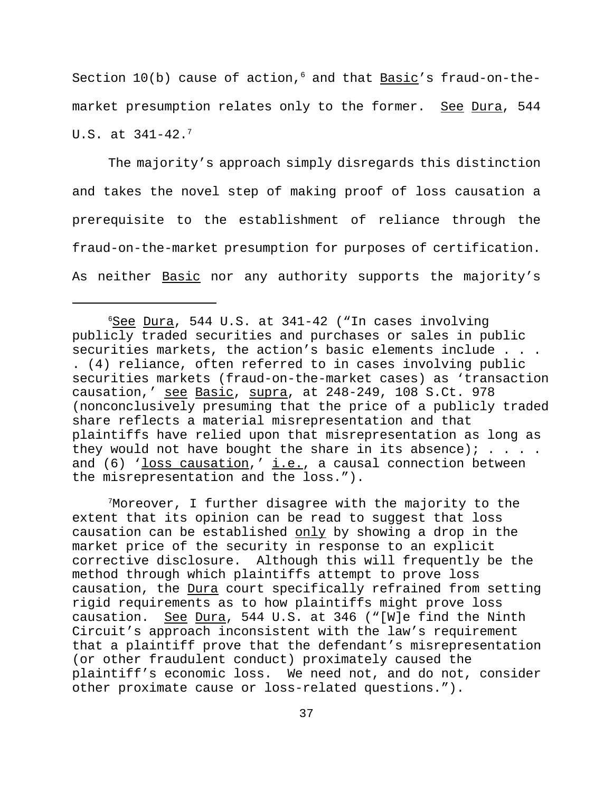Section  $10(b)$  cause of action,<sup>6</sup> and that Basic's fraud-on-themarket presumption relates only to the former. See Dura, 544 U.S. at 341-42.<sup>7</sup>

The majority's approach simply disregards this distinction and takes the novel step of making proof of loss causation a prerequisite to the establishment of reliance through the fraud-on-the-market presumption for purposes of certification. As neither Basic nor any authority supports the majority's

<sup>7</sup>Moreover, I further disagree with the majority to the extent that its opinion can be read to suggest that loss causation can be established only by showing a drop in the market price of the security in response to an explicit corrective disclosure. Although this will frequently be the method through which plaintiffs attempt to prove loss causation, the Dura court specifically refrained from setting rigid requirements as to how plaintiffs might prove loss causation. See Dura, 544 U.S. at 346 ("[W]e find the Ninth Circuit's approach inconsistent with the law's requirement that a plaintiff prove that the defendant's misrepresentation (or other fraudulent conduct) proximately caused the plaintiff's economic loss. We need not, and do not, consider other proximate cause or loss-related questions.").

 $6$ See Dura, 544 U.S. at 341-42 ("In cases involving publicly traded securities and purchases or sales in public securities markets, the action's basic elements include . . . . (4) reliance, often referred to in cases involving public securities markets (fraud-on-the-market cases) as 'transaction causation,' see Basic, supra, at 248-249, 108 S.Ct. 978 (nonconclusively presuming that the price of a publicly traded share reflects a material misrepresentation and that plaintiffs have relied upon that misrepresentation as long as they would not have bought the share in its absence);  $\ldots$ . and (6) 'loss causation,' i.e., a causal connection between the misrepresentation and the loss.").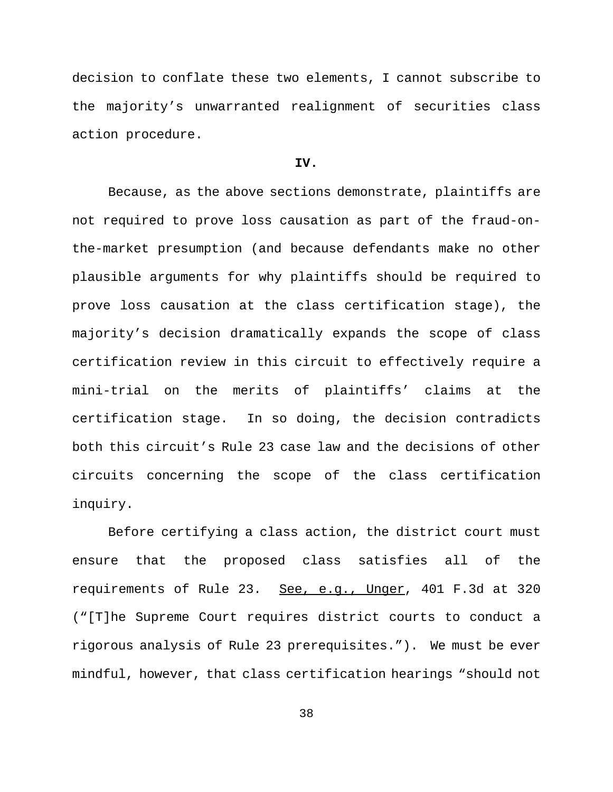decision to conflate these two elements, I cannot subscribe to the majority's unwarranted realignment of securities class action procedure.

## **IV.**

Because, as the above sections demonstrate, plaintiffs are not required to prove loss causation as part of the fraud-onthe-market presumption (and because defendants make no other plausible arguments for why plaintiffs should be required to prove loss causation at the class certification stage), the majority's decision dramatically expands the scope of class certification review in this circuit to effectively require a mini-trial on the merits of plaintiffs' claims at the certification stage. In so doing, the decision contradicts both this circuit's Rule 23 case law and the decisions of other circuits concerning the scope of the class certification inquiry.

Before certifying a class action, the district court must ensure that the proposed class satisfies all of the requirements of Rule 23. See, e.g., Unger, 401 F.3d at 320 ("[T]he Supreme Court requires district courts to conduct a rigorous analysis of Rule 23 prerequisites."). We must be ever mindful, however, that class certification hearings "should not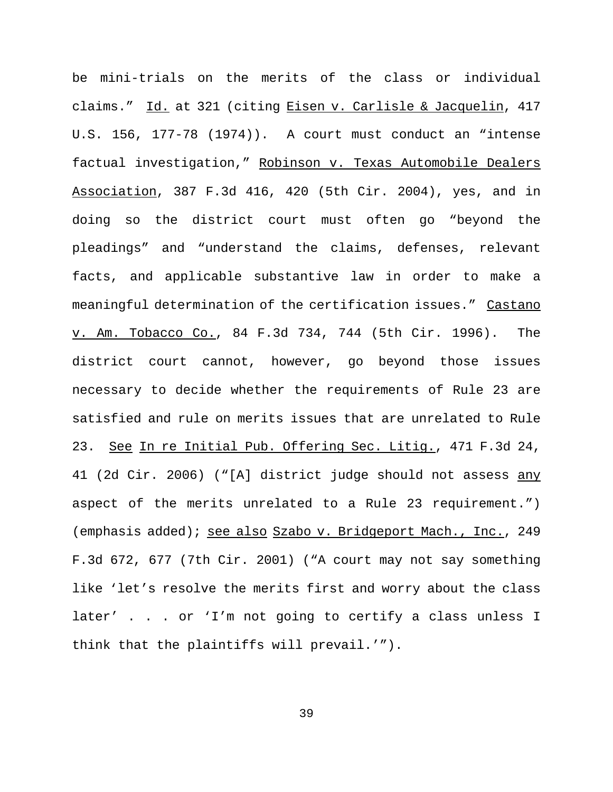be mini-trials on the merits of the class or individual claims." Id. at 321 (citing Eisen v. Carlisle & Jacquelin, 417 U.S. 156, 177-78 (1974)). A court must conduct an "intense factual investigation," Robinson v. Texas Automobile Dealers Association, 387 F.3d 416, 420 (5th Cir. 2004), yes, and in doing so the district court must often go "beyond the pleadings" and "understand the claims, defenses, relevant facts, and applicable substantive law in order to make a meaningful determination of the certification issues." Castano v. Am. Tobacco Co., 84 F.3d 734, 744 (5th Cir. 1996). The district court cannot, however, go beyond those issues necessary to decide whether the requirements of Rule 23 are satisfied and rule on merits issues that are unrelated to Rule 23. See In re Initial Pub. Offering Sec. Litig., 471 F.3d 24, 41 (2d Cir. 2006) ("[A] district judge should not assess any aspect of the merits unrelated to a Rule 23 requirement.") (emphasis added); see also Szabo v. Bridgeport Mach., Inc., 249 F.3d 672, 677 (7th Cir. 2001) ("A court may not say something like 'let's resolve the merits first and worry about the class later' . . . or 'I'm not going to certify a class unless I think that the plaintiffs will prevail.'").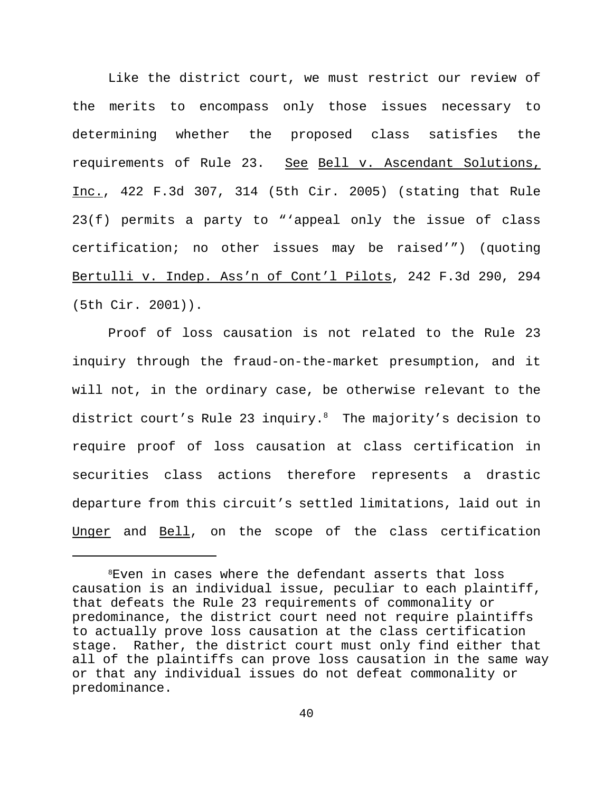Like the district court, we must restrict our review of the merits to encompass only those issues necessary to determining whether the proposed class satisfies the requirements of Rule 23. See Bell v. Ascendant Solutions, Inc., 422 F.3d 307, 314 (5th Cir. 2005) (stating that Rule 23(f) permits a party to "'appeal only the issue of class certification; no other issues may be raised'") (quoting Bertulli v. Indep. Ass'n of Cont'l Pilots, 242 F.3d 290, 294 (5th Cir. 2001)).

Proof of loss causation is not related to the Rule 23 inquiry through the fraud-on-the-market presumption, and it will not, in the ordinary case, be otherwise relevant to the district court's Rule 23 inquiry. $8$  The majority's decision to require proof of loss causation at class certification in securities class actions therefore represents a drastic departure from this circuit's settled limitations, laid out in Unger and Bell, on the scope of the class certification

<sup>8</sup>Even in cases where the defendant asserts that loss causation is an individual issue, peculiar to each plaintiff, that defeats the Rule 23 requirements of commonality or predominance, the district court need not require plaintiffs to actually prove loss causation at the class certification stage. Rather, the district court must only find either that all of the plaintiffs can prove loss causation in the same way or that any individual issues do not defeat commonality or predominance.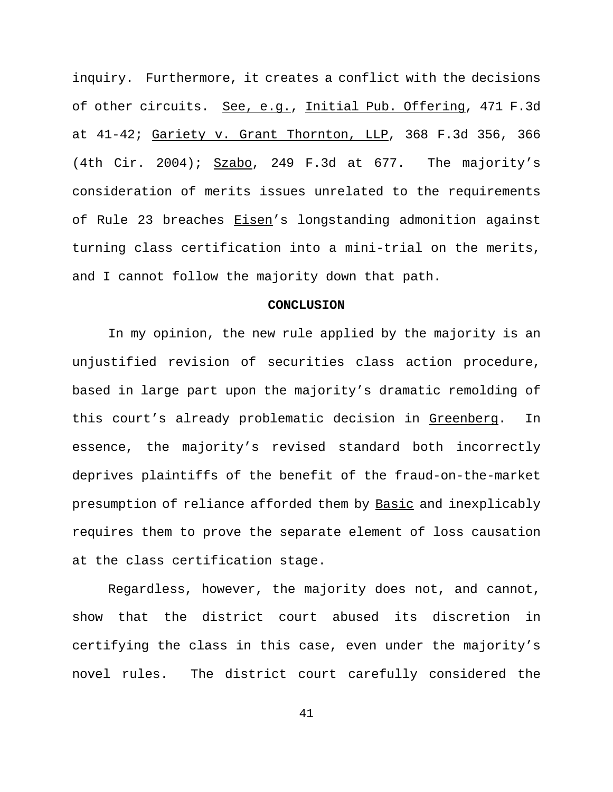inquiry. Furthermore, it creates a conflict with the decisions of other circuits. See, e.g., Initial Pub. Offering, 471 F.3d at 41-42; Gariety v. Grant Thornton, LLP, 368 F.3d 356, 366 (4th Cir. 2004);  $Szabo$ , 249 F.3d at 677. The majority's consideration of merits issues unrelated to the requirements of Rule 23 breaches Eisen's longstanding admonition against turning class certification into a mini-trial on the merits, and I cannot follow the majority down that path.

## **CONCLUSION**

In my opinion, the new rule applied by the majority is an unjustified revision of securities class action procedure, based in large part upon the majority's dramatic remolding of this court's already problematic decision in Greenberg. In essence, the majority's revised standard both incorrectly deprives plaintiffs of the benefit of the fraud-on-the-market presumption of reliance afforded them by Basic and inexplicably requires them to prove the separate element of loss causation at the class certification stage.

Regardless, however, the majority does not, and cannot, show that the district court abused its discretion in certifying the class in this case, even under the majority's novel rules. The district court carefully considered the